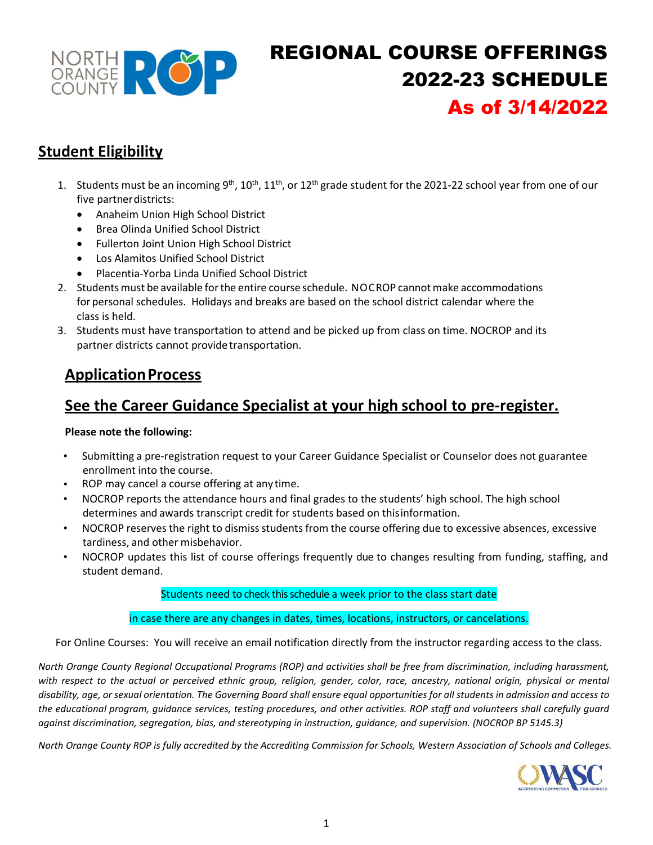

# REGIONAL COURSE OFFERINGS 2022-23 SCHEDULE As of 3/14/2022

### **Student Eligibility**

- 1. Students must be an incoming 9<sup>th</sup>, 10<sup>th</sup>, 11<sup>th</sup>, or 12<sup>th</sup> grade student for the 2021-22 school year from one of our five partnerdistricts:
	- Anaheim Union High School District
	- Brea Olinda Unified School District
	- Fullerton Joint Union High School District
	- Los Alamitos Unified School District
	- Placentia-Yorba Linda Unified School District
- 2. Students must be available for the entire course schedule. NOCROP cannot make accommodations for personal schedules. Holidays and breaks are based on the school district calendar where the class is held.
- 3. Students must have transportation to attend and be picked up from class on time. NOCROP and its partner districts cannot provide transportation.

### **ApplicationProcess**

## **See the Career Guidance Specialist at your high school to pre-register.**

#### **Please note the following:**

- Submitting a pre-registration request to your Career Guidance Specialist or Counselor does not guarantee enrollment into the course.
- ROP may cancel a course offering at any time.
- NOCROP reports the attendance hours and final grades to the students' high school. The high school determines and awards transcript credit for students based on thisinformation.
- NOCROP reserves the right to dismissstudents from the course offering due to excessive absences, excessive tardiness, and other misbehavior.
- NOCROP updates this list of course offerings frequently due to changes resulting from funding, staffing, and student demand.

#### Students need to check this schedule a week prior to the class start date

#### in case there are any changes in dates, times, locations, instructors, or cancelations.

For Online Courses: You will receive an email notification directly from the instructor regarding access to the class.

*North Orange County Regional Occupational Programs (ROP) and activities shall be free from discrimination, including harassment, with respect to the actual or perceived ethnic group, religion, gender, color, race, ancestry, national origin, physical or mental disability, age, or sexual orientation. The Governing Board shall ensure equal opportunities for all students in admission and access to the educational program, guidance services, testing procedures, and other activities. ROP staff and volunteers shall carefully guard against discrimination, segregation, bias, and stereotyping in instruction, guidance, and supervision. (NOCROP BP 5145.3)*

*North Orange County ROP is fully accredited by the Accrediting Commission for Schools, Western Association of Schools and Colleges.* 

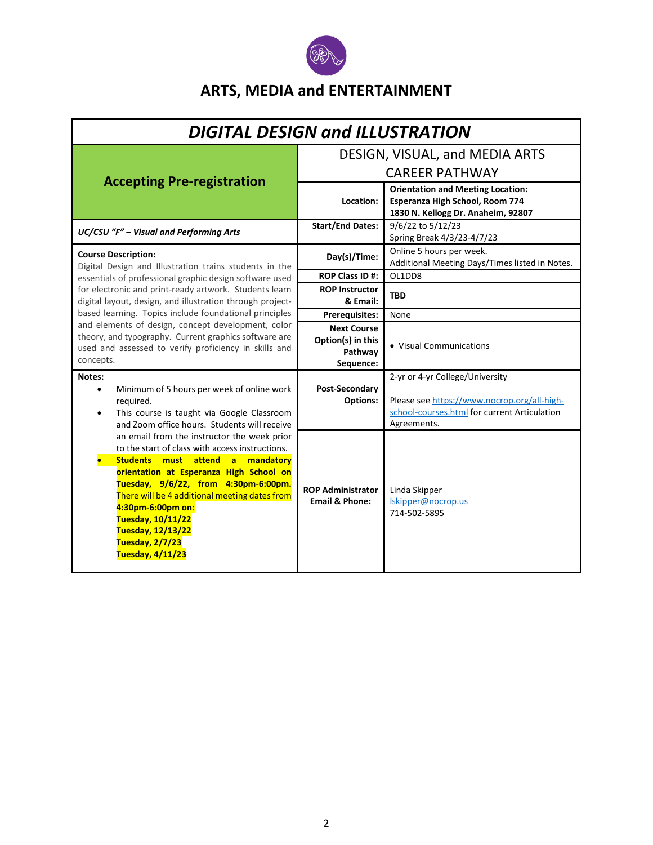

## **ARTS, MEDIA and ENTERTAINMENT**

| <b>DIGITAL DESIGN and ILLUSTRATION</b>                                                                                                                                                                                                                                                                                                                                                 |                                                                 |                                                                                                                                               |
|----------------------------------------------------------------------------------------------------------------------------------------------------------------------------------------------------------------------------------------------------------------------------------------------------------------------------------------------------------------------------------------|-----------------------------------------------------------------|-----------------------------------------------------------------------------------------------------------------------------------------------|
|                                                                                                                                                                                                                                                                                                                                                                                        | DESIGN, VISUAL, and MEDIA ARTS                                  |                                                                                                                                               |
| <b>Accepting Pre-registration</b>                                                                                                                                                                                                                                                                                                                                                      | <b>CAREER PATHWAY</b>                                           |                                                                                                                                               |
|                                                                                                                                                                                                                                                                                                                                                                                        | Location:                                                       | <b>Orientation and Meeting Location:</b><br>Esperanza High School, Room 774<br>1830 N. Kellogg Dr. Anaheim, 92807                             |
| UC/CSU "F" - Visual and Performing Arts                                                                                                                                                                                                                                                                                                                                                | <b>Start/End Dates:</b>                                         | 9/6/22 to 5/12/23<br>Spring Break 4/3/23-4/7/23                                                                                               |
| <b>Course Description:</b><br>Digital Design and Illustration trains students in the                                                                                                                                                                                                                                                                                                   | Day(s)/Time:                                                    | Online 5 hours per week.<br>Additional Meeting Days/Times listed in Notes.                                                                    |
| essentials of professional graphic design software used                                                                                                                                                                                                                                                                                                                                | ROP Class ID#:                                                  | OL1DD8                                                                                                                                        |
| for electronic and print-ready artwork. Students learn<br>digital layout, design, and illustration through project-                                                                                                                                                                                                                                                                    | <b>ROP Instructor</b><br>& Email:                               | <b>TBD</b>                                                                                                                                    |
| based learning. Topics include foundational principles                                                                                                                                                                                                                                                                                                                                 | <b>Prerequisites:</b>                                           | None                                                                                                                                          |
| and elements of design, concept development, color<br>theory, and typography. Current graphics software are<br>used and assessed to verify proficiency in skills and<br>concepts.                                                                                                                                                                                                      | <b>Next Course</b><br>Option(s) in this<br>Pathway<br>Sequence: | • Visual Communications                                                                                                                       |
| Notes:<br>Minimum of 5 hours per week of online work<br>$\bullet$<br>required.<br>This course is taught via Google Classroom<br>$\bullet$<br>and Zoom office hours. Students will receive                                                                                                                                                                                              | Post-Secondary<br><b>Options:</b>                               | 2-yr or 4-yr College/University<br>Please see https://www.nocrop.org/all-high-<br>school-courses.html for current Articulation<br>Agreements. |
| an email from the instructor the week prior<br>to the start of class with access instructions.<br>Students must attend a<br>mandatory<br>orientation at Esperanza High School on<br>Tuesday, 9/6/22, from 4:30pm-6:00pm.<br>There will be 4 additional meeting dates from<br>4:30pm-6:00pm on:<br>Tuesday, 10/11/22<br>Tuesday, 12/13/22<br>Tuesday, 2/7/23<br><b>Tuesday, 4/11/23</b> | <b>ROP Administrator</b><br><b>Email &amp; Phone:</b>           | Linda Skipper<br>lskipper@nocrop.us<br>714-502-5895                                                                                           |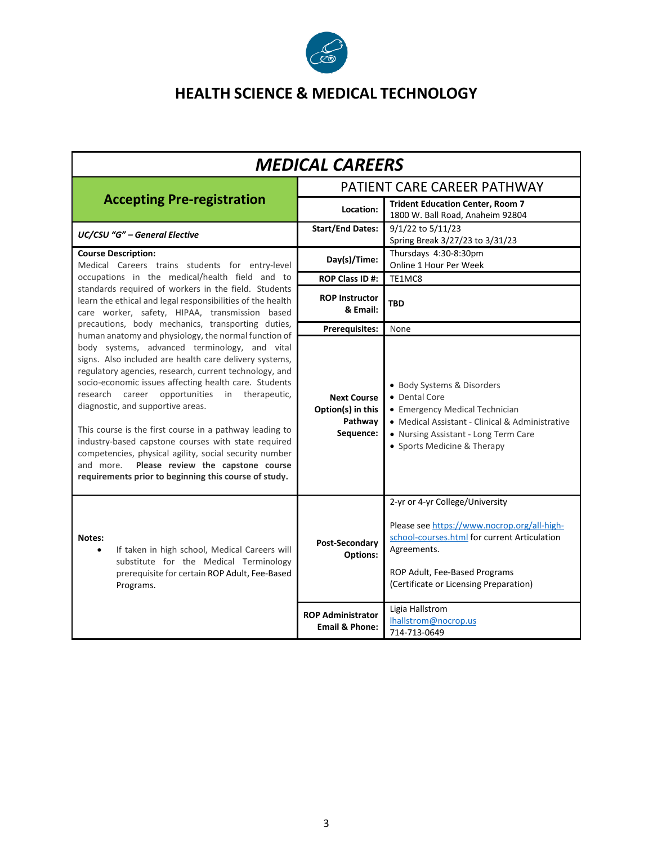

## **HEALTH SCIENCE & MEDICAL TECHNOLOGY**

| <b>MEDICAL CAREERS</b>                                                                                                                                                                                                                                                                                                                                                                                                                                                                                                                                                                                                                                          |                                                                 |                                                                                                                                                                                                                                             |
|-----------------------------------------------------------------------------------------------------------------------------------------------------------------------------------------------------------------------------------------------------------------------------------------------------------------------------------------------------------------------------------------------------------------------------------------------------------------------------------------------------------------------------------------------------------------------------------------------------------------------------------------------------------------|-----------------------------------------------------------------|---------------------------------------------------------------------------------------------------------------------------------------------------------------------------------------------------------------------------------------------|
|                                                                                                                                                                                                                                                                                                                                                                                                                                                                                                                                                                                                                                                                 | PATIENT CARE CAREER PATHWAY                                     |                                                                                                                                                                                                                                             |
| <b>Accepting Pre-registration</b>                                                                                                                                                                                                                                                                                                                                                                                                                                                                                                                                                                                                                               | Location:                                                       | <b>Trident Education Center, Room 7</b><br>1800 W. Ball Road, Anaheim 92804                                                                                                                                                                 |
| UC/CSU "G" - General Elective                                                                                                                                                                                                                                                                                                                                                                                                                                                                                                                                                                                                                                   | <b>Start/End Dates:</b>                                         | 9/1/22 to 5/11/23<br>Spring Break 3/27/23 to 3/31/23                                                                                                                                                                                        |
| <b>Course Description:</b><br>Medical Careers trains students for entry-level                                                                                                                                                                                                                                                                                                                                                                                                                                                                                                                                                                                   | Day(s)/Time:                                                    | Thursdays 4:30-8:30pm<br>Online 1 Hour Per Week                                                                                                                                                                                             |
| occupations in the medical/health field and to                                                                                                                                                                                                                                                                                                                                                                                                                                                                                                                                                                                                                  | ROP Class ID #:                                                 | TE1MC8                                                                                                                                                                                                                                      |
| standards required of workers in the field. Students<br>learn the ethical and legal responsibilities of the health<br>care worker, safety, HIPAA, transmission based                                                                                                                                                                                                                                                                                                                                                                                                                                                                                            | <b>ROP Instructor</b><br>& Email:                               | TBD                                                                                                                                                                                                                                         |
| precautions, body mechanics, transporting duties,                                                                                                                                                                                                                                                                                                                                                                                                                                                                                                                                                                                                               | <b>Prerequisites:</b>                                           | None                                                                                                                                                                                                                                        |
| human anatomy and physiology, the normal function of<br>body systems, advanced terminology, and vital<br>signs. Also included are health care delivery systems,<br>regulatory agencies, research, current technology, and<br>socio-economic issues affecting health care. Students<br>research career opportunities in therapeutic,<br>diagnostic, and supportive areas.<br>This course is the first course in a pathway leading to<br>industry-based capstone courses with state required<br>competencies, physical agility, social security number<br>Please review the capstone course<br>and more.<br>requirements prior to beginning this course of study. | <b>Next Course</b><br>Option(s) in this<br>Pathway<br>Sequence: | • Body Systems & Disorders<br>• Dental Core<br>• Emergency Medical Technician<br>• Medical Assistant - Clinical & Administrative<br>• Nursing Assistant - Long Term Care<br>• Sports Medicine & Therapy                                     |
| Notes:<br>If taken in high school, Medical Careers will<br>substitute for the Medical Terminology<br>prerequisite for certain ROP Adult, Fee-Based<br>Programs.                                                                                                                                                                                                                                                                                                                                                                                                                                                                                                 | Post-Secondary<br><b>Options:</b><br><b>ROP Administrator</b>   | 2-yr or 4-yr College/University<br>Please see https://www.nocrop.org/all-high-<br>school-courses.html for current Articulation<br>Agreements.<br>ROP Adult, Fee-Based Programs<br>(Certificate or Licensing Preparation)<br>Ligia Hallstrom |
|                                                                                                                                                                                                                                                                                                                                                                                                                                                                                                                                                                                                                                                                 | <b>Email &amp; Phone:</b>                                       | lhallstrom@nocrop.us<br>714-713-0649                                                                                                                                                                                                        |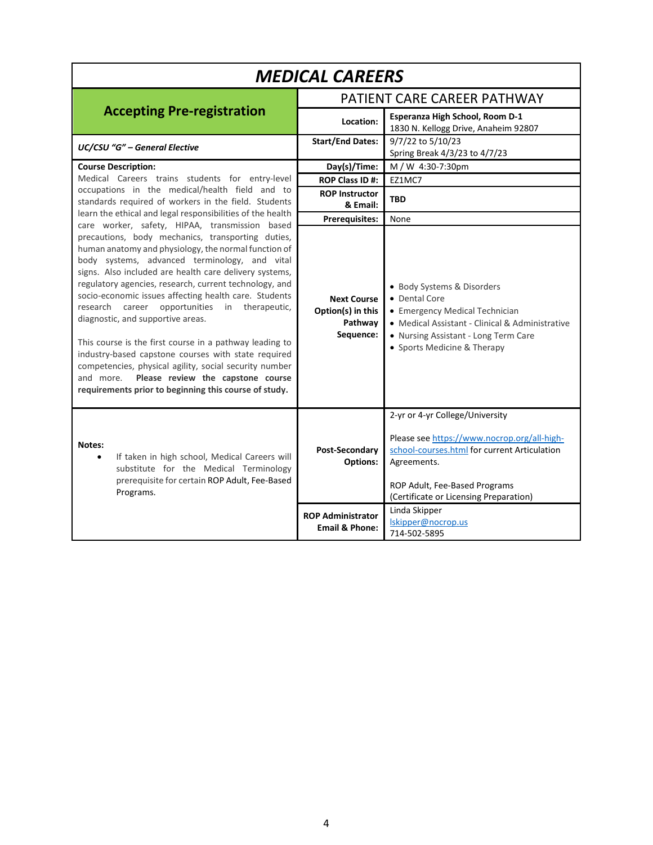| <b>MEDICAL CAREERS</b>                                                                                                                                                                                                                                                                                                                                                                                                                                                                                                                                                                                                                                                                                               |                                                                 |                                                                                                                                                                                                                                           |  |
|----------------------------------------------------------------------------------------------------------------------------------------------------------------------------------------------------------------------------------------------------------------------------------------------------------------------------------------------------------------------------------------------------------------------------------------------------------------------------------------------------------------------------------------------------------------------------------------------------------------------------------------------------------------------------------------------------------------------|-----------------------------------------------------------------|-------------------------------------------------------------------------------------------------------------------------------------------------------------------------------------------------------------------------------------------|--|
|                                                                                                                                                                                                                                                                                                                                                                                                                                                                                                                                                                                                                                                                                                                      |                                                                 | PATIENT CARE CAREER PATHWAY                                                                                                                                                                                                               |  |
| <b>Accepting Pre-registration</b>                                                                                                                                                                                                                                                                                                                                                                                                                                                                                                                                                                                                                                                                                    | Location:                                                       | Esperanza High School, Room D-1<br>1830 N. Kellogg Drive, Anaheim 92807                                                                                                                                                                   |  |
| <b>UC/CSU "G" - General Elective</b>                                                                                                                                                                                                                                                                                                                                                                                                                                                                                                                                                                                                                                                                                 | <b>Start/End Dates:</b>                                         | 9/7/22 to 5/10/23<br>Spring Break 4/3/23 to 4/7/23                                                                                                                                                                                        |  |
| <b>Course Description:</b>                                                                                                                                                                                                                                                                                                                                                                                                                                                                                                                                                                                                                                                                                           | Day(s)/Time:                                                    | M / W 4:30-7:30pm                                                                                                                                                                                                                         |  |
| Medical Careers trains students for entry-level                                                                                                                                                                                                                                                                                                                                                                                                                                                                                                                                                                                                                                                                      | ROP Class ID #:                                                 | EZ1MC7                                                                                                                                                                                                                                    |  |
| occupations in the medical/health field and to<br>standards required of workers in the field. Students                                                                                                                                                                                                                                                                                                                                                                                                                                                                                                                                                                                                               | <b>ROP Instructor</b><br>& Email:                               | <b>TBD</b>                                                                                                                                                                                                                                |  |
| learn the ethical and legal responsibilities of the health<br>care worker, safety, HIPAA, transmission based                                                                                                                                                                                                                                                                                                                                                                                                                                                                                                                                                                                                         | <b>Prerequisites:</b>                                           | None                                                                                                                                                                                                                                      |  |
| precautions, body mechanics, transporting duties,<br>human anatomy and physiology, the normal function of<br>body systems, advanced terminology, and vital<br>signs. Also included are health care delivery systems,<br>regulatory agencies, research, current technology, and<br>socio-economic issues affecting health care. Students<br>research career opportunities in therapeutic,<br>diagnostic, and supportive areas.<br>This course is the first course in a pathway leading to<br>industry-based capstone courses with state required<br>competencies, physical agility, social security number<br>Please review the capstone course<br>and more.<br>requirements prior to beginning this course of study. | <b>Next Course</b><br>Option(s) in this<br>Pathway<br>Sequence: | • Body Systems & Disorders<br>• Dental Core<br>• Emergency Medical Technician<br>• Medical Assistant - Clinical & Administrative<br>• Nursing Assistant - Long Term Care<br>• Sports Medicine & Therapy                                   |  |
| Notes:<br>If taken in high school, Medical Careers will<br>$\bullet$<br>substitute for the Medical Terminology<br>prerequisite for certain ROP Adult, Fee-Based<br>Programs.                                                                                                                                                                                                                                                                                                                                                                                                                                                                                                                                         | Post-Secondary<br><b>Options:</b>                               | 2-yr or 4-yr College/University<br>Please see https://www.nocrop.org/all-high-<br>school-courses.html for current Articulation<br>Agreements.<br>ROP Adult, Fee-Based Programs<br>(Certificate or Licensing Preparation)<br>Linda Skipper |  |
|                                                                                                                                                                                                                                                                                                                                                                                                                                                                                                                                                                                                                                                                                                                      | <b>ROP Administrator</b><br><b>Email &amp; Phone:</b>           | Iskipper@nocrop.us<br>714-502-5895                                                                                                                                                                                                        |  |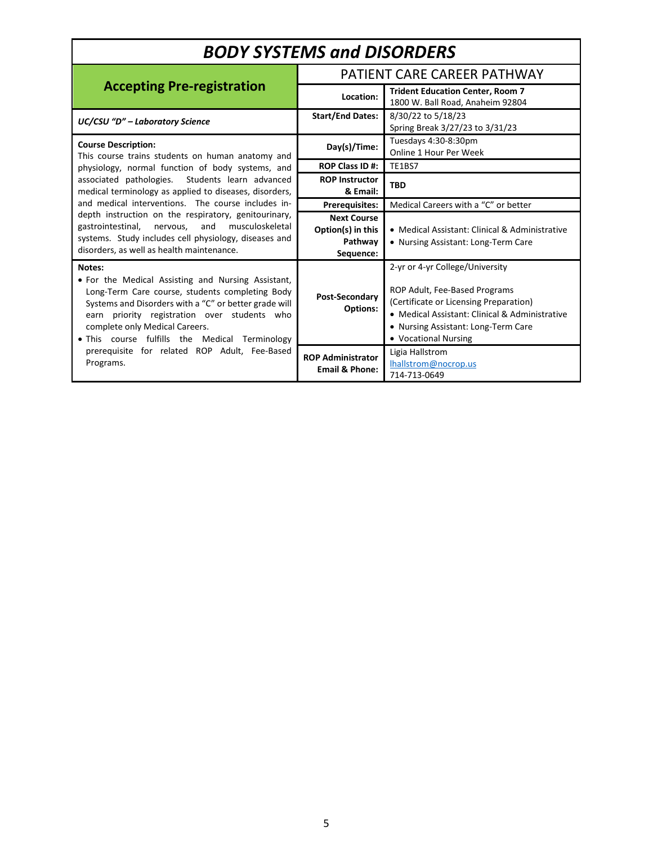| <b>BODY SYSTEMS and DISORDERS</b>                                                                                                                                                                                                                                                                                                                                          |                                                                 |                                                                                                                                                                                                                             |
|----------------------------------------------------------------------------------------------------------------------------------------------------------------------------------------------------------------------------------------------------------------------------------------------------------------------------------------------------------------------------|-----------------------------------------------------------------|-----------------------------------------------------------------------------------------------------------------------------------------------------------------------------------------------------------------------------|
|                                                                                                                                                                                                                                                                                                                                                                            | PATIENT CARE CAREER PATHWAY                                     |                                                                                                                                                                                                                             |
| <b>Accepting Pre-registration</b>                                                                                                                                                                                                                                                                                                                                          | Location:                                                       | <b>Trident Education Center, Room 7</b><br>1800 W. Ball Road, Anaheim 92804                                                                                                                                                 |
| <b>UC/CSU "D" - Laboratory Science</b>                                                                                                                                                                                                                                                                                                                                     | <b>Start/End Dates:</b>                                         | 8/30/22 to 5/18/23<br>Spring Break 3/27/23 to 3/31/23                                                                                                                                                                       |
| <b>Course Description:</b><br>This course trains students on human anatomy and                                                                                                                                                                                                                                                                                             | Day(s)/Time:                                                    | Tuesdays 4:30-8:30pm<br>Online 1 Hour Per Week                                                                                                                                                                              |
| physiology, normal function of body systems, and                                                                                                                                                                                                                                                                                                                           | <b>ROP Class ID#:</b>                                           | <b>TE1BS7</b>                                                                                                                                                                                                               |
| associated pathologies.<br>Students learn advanced<br>medical terminology as applied to diseases, disorders,                                                                                                                                                                                                                                                               | <b>ROP Instructor</b><br>& Email:                               | <b>TBD</b>                                                                                                                                                                                                                  |
| and medical interventions. The course includes in-                                                                                                                                                                                                                                                                                                                         | <b>Prerequisites:</b>                                           | Medical Careers with a "C" or better                                                                                                                                                                                        |
| depth instruction on the respiratory, genitourinary,<br>gastrointestinal,<br>and<br>musculoskeletal<br>nervous,<br>systems. Study includes cell physiology, diseases and<br>disorders, as well as health maintenance.                                                                                                                                                      | <b>Next Course</b><br>Option(s) in this<br>Pathway<br>Sequence: | • Medical Assistant: Clinical & Administrative<br>• Nursing Assistant: Long-Term Care                                                                                                                                       |
| Notes:<br>• For the Medical Assisting and Nursing Assistant,<br>Long-Term Care course, students completing Body<br>Systems and Disorders with a "C" or better grade will<br>earn priority registration over students who<br>complete only Medical Careers.<br>. This course fulfills the Medical Terminology<br>prerequisite for related ROP Adult, Fee-Based<br>Programs. | Post-Secondary<br><b>Options:</b>                               | 2-yr or 4-yr College/University<br>ROP Adult, Fee-Based Programs<br>(Certificate or Licensing Preparation)<br>• Medical Assistant: Clinical & Administrative<br>• Nursing Assistant: Long-Term Care<br>• Vocational Nursing |
|                                                                                                                                                                                                                                                                                                                                                                            | <b>ROP Administrator</b><br><b>Email &amp; Phone:</b>           | Ligia Hallstrom<br>lhallstrom@nocrop.us<br>714-713-0649                                                                                                                                                                     |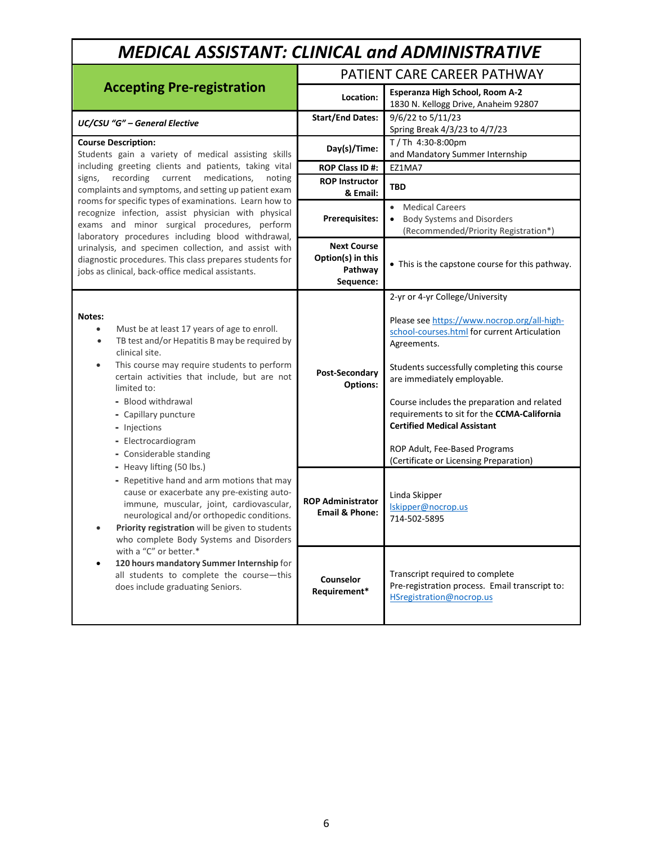| <b>MEDICAL ASSISTANT: CLINICAL and ADMINISTRATIVE</b>                                                                                                                                                                                                                                                                                                                                                                                                                                                                                                                                                                                                                                                                                                                                                                                                                 |                                                                 |                                                                                                                                                                                                                                                                                                                                                                                                                                             |  |
|-----------------------------------------------------------------------------------------------------------------------------------------------------------------------------------------------------------------------------------------------------------------------------------------------------------------------------------------------------------------------------------------------------------------------------------------------------------------------------------------------------------------------------------------------------------------------------------------------------------------------------------------------------------------------------------------------------------------------------------------------------------------------------------------------------------------------------------------------------------------------|-----------------------------------------------------------------|---------------------------------------------------------------------------------------------------------------------------------------------------------------------------------------------------------------------------------------------------------------------------------------------------------------------------------------------------------------------------------------------------------------------------------------------|--|
|                                                                                                                                                                                                                                                                                                                                                                                                                                                                                                                                                                                                                                                                                                                                                                                                                                                                       |                                                                 | PATIENT CARE CAREER PATHWAY                                                                                                                                                                                                                                                                                                                                                                                                                 |  |
| <b>Accepting Pre-registration</b>                                                                                                                                                                                                                                                                                                                                                                                                                                                                                                                                                                                                                                                                                                                                                                                                                                     | Location:                                                       | Esperanza High School, Room A-2<br>1830 N. Kellogg Drive, Anaheim 92807                                                                                                                                                                                                                                                                                                                                                                     |  |
| <b>UC/CSU "G" - General Elective</b>                                                                                                                                                                                                                                                                                                                                                                                                                                                                                                                                                                                                                                                                                                                                                                                                                                  | <b>Start/End Dates:</b>                                         | 9/6/22 to 5/11/23<br>Spring Break 4/3/23 to 4/7/23                                                                                                                                                                                                                                                                                                                                                                                          |  |
| <b>Course Description:</b><br>Students gain a variety of medical assisting skills                                                                                                                                                                                                                                                                                                                                                                                                                                                                                                                                                                                                                                                                                                                                                                                     | Day(s)/Time:                                                    | T/Th 4:30-8:00pm<br>and Mandatory Summer Internship                                                                                                                                                                                                                                                                                                                                                                                         |  |
| including greeting clients and patients, taking vital                                                                                                                                                                                                                                                                                                                                                                                                                                                                                                                                                                                                                                                                                                                                                                                                                 | ROP Class ID#:                                                  | EZ1MA7                                                                                                                                                                                                                                                                                                                                                                                                                                      |  |
| recording<br>current<br>medications,<br>noting<br>signs,<br>complaints and symptoms, and setting up patient exam                                                                                                                                                                                                                                                                                                                                                                                                                                                                                                                                                                                                                                                                                                                                                      | <b>ROP Instructor</b><br>& Email:                               | <b>TBD</b>                                                                                                                                                                                                                                                                                                                                                                                                                                  |  |
| rooms for specific types of examinations. Learn how to<br>recognize infection, assist physician with physical<br>exams and minor surgical procedures, perform<br>laboratory procedures including blood withdrawal,                                                                                                                                                                                                                                                                                                                                                                                                                                                                                                                                                                                                                                                    | <b>Prerequisites:</b>                                           | $\bullet$<br><b>Medical Careers</b><br><b>Body Systems and Disorders</b><br>(Recommended/Priority Registration*)                                                                                                                                                                                                                                                                                                                            |  |
| urinalysis, and specimen collection, and assist with<br>diagnostic procedures. This class prepares students for<br>jobs as clinical, back-office medical assistants.                                                                                                                                                                                                                                                                                                                                                                                                                                                                                                                                                                                                                                                                                                  | <b>Next Course</b><br>Option(s) in this<br>Pathway<br>Sequence: | • This is the capstone course for this pathway.                                                                                                                                                                                                                                                                                                                                                                                             |  |
| Notes:<br>Must be at least 17 years of age to enroll.<br>$\bullet$<br>TB test and/or Hepatitis B may be required by<br>$\bullet$<br>clinical site.<br>This course may require students to perform<br>$\bullet$<br>certain activities that include, but are not<br>limited to:<br>- Blood withdrawal<br>- Capillary puncture<br>- Injections<br>- Electrocardiogram<br>- Considerable standing<br>- Heavy lifting (50 lbs.)<br>- Repetitive hand and arm motions that may<br>cause or exacerbate any pre-existing auto-<br>immune, muscular, joint, cardiovascular,<br>neurological and/or orthopedic conditions.<br>Priority registration will be given to students<br>who complete Body Systems and Disorders<br>with a "C" or better.*<br>120 hours mandatory Summer Internship for<br>all students to complete the course-this<br>does include graduating Seniors. | Post-Secondary<br><b>Options:</b>                               | 2-yr or 4-yr College/University<br>Please see https://www.nocrop.org/all-high-<br>school-courses.html for current Articulation<br>Agreements.<br>Students successfully completing this course<br>are immediately employable.<br>Course includes the preparation and related<br>requirements to sit for the CCMA-California<br><b>Certified Medical Assistant</b><br>ROP Adult, Fee-Based Programs<br>(Certificate or Licensing Preparation) |  |
|                                                                                                                                                                                                                                                                                                                                                                                                                                                                                                                                                                                                                                                                                                                                                                                                                                                                       | <b>ROP Administrator</b><br><b>Email &amp; Phone:</b>           | Linda Skipper<br>Iskipper@nocrop.us<br>714-502-5895                                                                                                                                                                                                                                                                                                                                                                                         |  |
|                                                                                                                                                                                                                                                                                                                                                                                                                                                                                                                                                                                                                                                                                                                                                                                                                                                                       | Counselor<br>Requirement*                                       | Transcript required to complete<br>Pre-registration process. Email transcript to:<br>HSregistration@nocrop.us                                                                                                                                                                                                                                                                                                                               |  |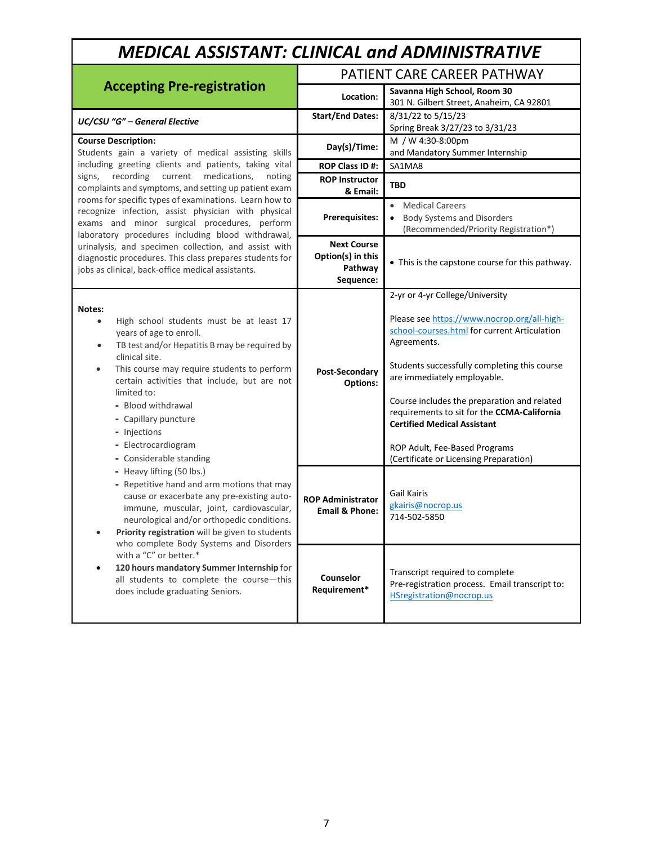| <b>MEDICAL ASSISTANT: CLINICAL and ADMINISTRATIVE</b>                                                                                                                                                                                                                                                                                                                                                                                                                                                                                                                                                                                                                                                                                                                                                                                                                                                      |                                                                 |                                                                                                                                                                                                                                                                                                                                                                                                                                             |  |
|------------------------------------------------------------------------------------------------------------------------------------------------------------------------------------------------------------------------------------------------------------------------------------------------------------------------------------------------------------------------------------------------------------------------------------------------------------------------------------------------------------------------------------------------------------------------------------------------------------------------------------------------------------------------------------------------------------------------------------------------------------------------------------------------------------------------------------------------------------------------------------------------------------|-----------------------------------------------------------------|---------------------------------------------------------------------------------------------------------------------------------------------------------------------------------------------------------------------------------------------------------------------------------------------------------------------------------------------------------------------------------------------------------------------------------------------|--|
|                                                                                                                                                                                                                                                                                                                                                                                                                                                                                                                                                                                                                                                                                                                                                                                                                                                                                                            |                                                                 | PATIENT CARE CAREER PATHWAY                                                                                                                                                                                                                                                                                                                                                                                                                 |  |
| <b>Accepting Pre-registration</b>                                                                                                                                                                                                                                                                                                                                                                                                                                                                                                                                                                                                                                                                                                                                                                                                                                                                          | Location:                                                       | Savanna High School, Room 30<br>301 N. Gilbert Street, Anaheim, CA 92801                                                                                                                                                                                                                                                                                                                                                                    |  |
| <b>UC/CSU "G" - General Elective</b>                                                                                                                                                                                                                                                                                                                                                                                                                                                                                                                                                                                                                                                                                                                                                                                                                                                                       | <b>Start/End Dates:</b>                                         | 8/31/22 to 5/15/23<br>Spring Break 3/27/23 to 3/31/23                                                                                                                                                                                                                                                                                                                                                                                       |  |
| <b>Course Description:</b><br>Students gain a variety of medical assisting skills                                                                                                                                                                                                                                                                                                                                                                                                                                                                                                                                                                                                                                                                                                                                                                                                                          | Day(s)/Time:                                                    | M / W 4:30-8:00pm<br>and Mandatory Summer Internship                                                                                                                                                                                                                                                                                                                                                                                        |  |
| including greeting clients and patients, taking vital                                                                                                                                                                                                                                                                                                                                                                                                                                                                                                                                                                                                                                                                                                                                                                                                                                                      | ROP Class ID#:                                                  | SA1MA8                                                                                                                                                                                                                                                                                                                                                                                                                                      |  |
| signs, recording<br>current<br>medications,<br>noting<br>complaints and symptoms, and setting up patient exam                                                                                                                                                                                                                                                                                                                                                                                                                                                                                                                                                                                                                                                                                                                                                                                              | <b>ROP Instructor</b><br>& Email:                               | <b>TBD</b>                                                                                                                                                                                                                                                                                                                                                                                                                                  |  |
| rooms for specific types of examinations. Learn how to<br>recognize infection, assist physician with physical<br>exams and minor surgical procedures, perform<br>laboratory procedures including blood withdrawal,                                                                                                                                                                                                                                                                                                                                                                                                                                                                                                                                                                                                                                                                                         | <b>Prerequisites:</b>                                           | $\bullet$<br><b>Medical Careers</b><br><b>Body Systems and Disorders</b><br>$\bullet$<br>(Recommended/Priority Registration*)                                                                                                                                                                                                                                                                                                               |  |
| urinalysis, and specimen collection, and assist with<br>diagnostic procedures. This class prepares students for<br>jobs as clinical, back-office medical assistants.                                                                                                                                                                                                                                                                                                                                                                                                                                                                                                                                                                                                                                                                                                                                       | <b>Next Course</b><br>Option(s) in this<br>Pathway<br>Sequence: | • This is the capstone course for this pathway.                                                                                                                                                                                                                                                                                                                                                                                             |  |
| Notes:<br>High school students must be at least 17<br>$\bullet$<br>years of age to enroll.<br>TB test and/or Hepatitis B may be required by<br>$\bullet$<br>clinical site.<br>This course may require students to perform<br>$\bullet$<br>certain activities that include, but are not<br>limited to:<br>- Blood withdrawal<br>- Capillary puncture<br>- Injections<br>- Electrocardiogram<br>- Considerable standing<br>- Heavy lifting (50 lbs.)<br>- Repetitive hand and arm motions that may<br>cause or exacerbate any pre-existing auto-<br>immune, muscular, joint, cardiovascular,<br>neurological and/or orthopedic conditions.<br>Priority registration will be given to students<br>who complete Body Systems and Disorders<br>with a "C" or better.*<br>120 hours mandatory Summer Internship for<br>$\bullet$<br>all students to complete the course-this<br>does include graduating Seniors. | Post-Secondary<br><b>Options:</b>                               | 2-yr or 4-yr College/University<br>Please see https://www.nocrop.org/all-high-<br>school-courses.html for current Articulation<br>Agreements.<br>Students successfully completing this course<br>are immediately employable.<br>Course includes the preparation and related<br>requirements to sit for the CCMA-California<br><b>Certified Medical Assistant</b><br>ROP Adult, Fee-Based Programs<br>(Certificate or Licensing Preparation) |  |
|                                                                                                                                                                                                                                                                                                                                                                                                                                                                                                                                                                                                                                                                                                                                                                                                                                                                                                            | <b>ROP Administrator</b><br><b>Email &amp; Phone:</b>           | Gail Kairis<br>gkairis@nocrop.us<br>714-502-5850                                                                                                                                                                                                                                                                                                                                                                                            |  |
|                                                                                                                                                                                                                                                                                                                                                                                                                                                                                                                                                                                                                                                                                                                                                                                                                                                                                                            | Counselor<br>Requirement*                                       | Transcript required to complete<br>Pre-registration process. Email transcript to:<br>HSregistration@nocrop.us                                                                                                                                                                                                                                                                                                                               |  |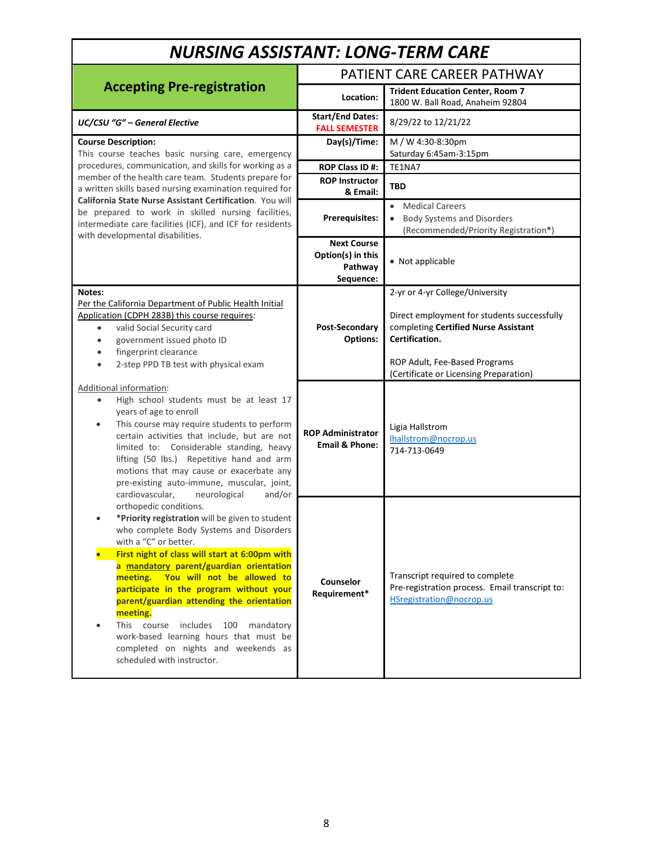| <b>NURSING ASSISTANT: LONG-TERM CARE</b>                                                                                                                                                                                                                                                                                                                                                                                                                                                                                                                                                      |                                                                 |                                                                                                                                                                                                                     |
|-----------------------------------------------------------------------------------------------------------------------------------------------------------------------------------------------------------------------------------------------------------------------------------------------------------------------------------------------------------------------------------------------------------------------------------------------------------------------------------------------------------------------------------------------------------------------------------------------|-----------------------------------------------------------------|---------------------------------------------------------------------------------------------------------------------------------------------------------------------------------------------------------------------|
|                                                                                                                                                                                                                                                                                                                                                                                                                                                                                                                                                                                               | PATIENT CARE CAREER PATHWAY                                     |                                                                                                                                                                                                                     |
| <b>Accepting Pre-registration</b>                                                                                                                                                                                                                                                                                                                                                                                                                                                                                                                                                             | Location:                                                       | <b>Trident Education Center, Room 7</b><br>1800 W. Ball Road, Anaheim 92804                                                                                                                                         |
| <b>UC/CSU "G" - General Elective</b>                                                                                                                                                                                                                                                                                                                                                                                                                                                                                                                                                          | <b>Start/End Dates:</b><br><b>FALL SEMESTER</b>                 | 8/29/22 to 12/21/22                                                                                                                                                                                                 |
| <b>Course Description:</b><br>This course teaches basic nursing care, emergency                                                                                                                                                                                                                                                                                                                                                                                                                                                                                                               | Day(s)/Time:                                                    | M / W 4:30-8:30pm<br>Saturday 6:45am-3:15pm                                                                                                                                                                         |
| procedures, communication, and skills for working as a                                                                                                                                                                                                                                                                                                                                                                                                                                                                                                                                        | ROP Class ID#:                                                  | TE1NA7                                                                                                                                                                                                              |
| member of the health care team. Students prepare for<br>a written skills based nursing examination required for                                                                                                                                                                                                                                                                                                                                                                                                                                                                               | <b>ROP Instructor</b><br>& Email:                               | TBD                                                                                                                                                                                                                 |
| California State Nurse Assistant Certification. You will<br>be prepared to work in skilled nursing facilities,<br>intermediate care facilities (ICF), and ICF for residents<br>with developmental disabilities.                                                                                                                                                                                                                                                                                                                                                                               | <b>Prerequisites:</b>                                           | <b>Medical Careers</b><br><b>Body Systems and Disorders</b><br>(Recommended/Priority Registration*)                                                                                                                 |
|                                                                                                                                                                                                                                                                                                                                                                                                                                                                                                                                                                                               | <b>Next Course</b><br>Option(s) in this<br>Pathway<br>Sequence: | • Not applicable                                                                                                                                                                                                    |
| Notes:<br>Per the California Department of Public Health Initial<br>Application (CDPH 283B) this course requires:<br>valid Social Security card<br>$\bullet$<br>government issued photo ID<br>$\bullet$<br>fingerprint clearance<br>$\bullet$<br>2-step PPD TB test with physical exam<br>$\bullet$                                                                                                                                                                                                                                                                                           | Post-Secondary<br><b>Options:</b>                               | 2-yr or 4-yr College/University<br>Direct employment for students successfully<br>completing Certified Nurse Assistant<br>Certification.<br>ROP Adult, Fee-Based Programs<br>(Certificate or Licensing Preparation) |
| Additional information:<br>High school students must be at least 17<br>$\bullet$<br>years of age to enroll<br>This course may require students to perform<br>$\bullet$<br>certain activities that include, but are not<br>limited to: Considerable standing, heavy<br>lifting (50 lbs.) Repetitive hand and arm<br>motions that may cause or exacerbate any<br>pre-existing auto-immune, muscular, joint,                                                                                                                                                                                     | <b>ROP Administrator</b><br><b>Email &amp; Phone:</b>           | Ligia Hallstrom<br>lhallstrom@nocrop.us<br>714-713-0649                                                                                                                                                             |
| cardiovascular,<br>neurological<br>and/or<br>orthopedic conditions.<br>*Priority registration will be given to student<br>who complete Body Systems and Disorders<br>with a "C" or better.<br>First night of class will start at 6:00pm with<br>a mandatory parent/guardian orientation<br>meeting. You will not be allowed to<br>participate in the program without your<br>parent/guardian attending the orientation<br>meeting.<br>This course includes<br>100<br>mandatory<br>work-based learning hours that must be<br>completed on nights and weekends as<br>scheduled with instructor. | Counselor<br>Requirement*                                       | Transcript required to complete<br>Pre-registration process. Email transcript to:<br>HSregistration@nocrop.us                                                                                                       |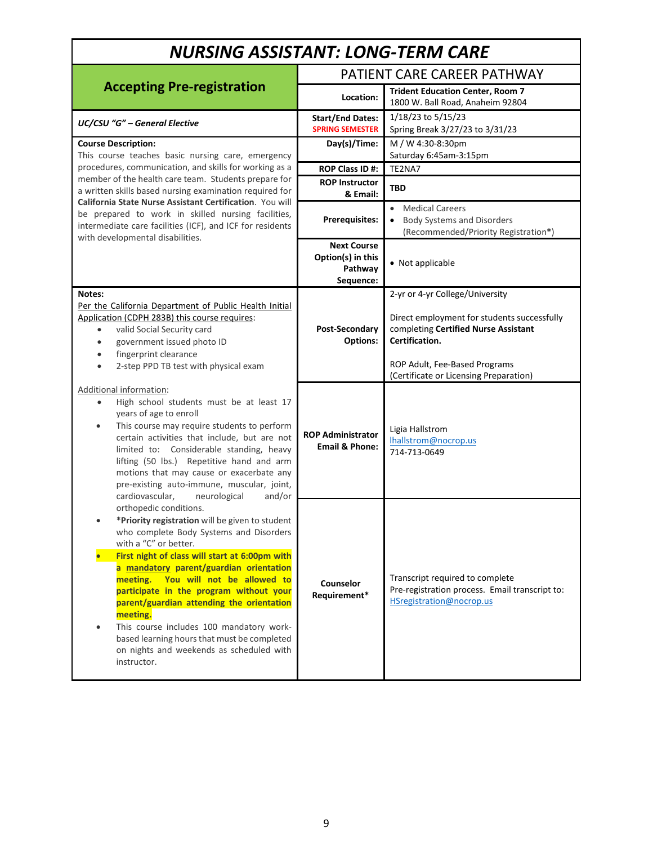| <b>NURSING ASSISTANT: LONG-TERM CARE</b>                                                                                                                                                                                                                                                                                                                                                                                                                                                                                                    |                                                                 |                                                                                                                                                                                                                     |
|---------------------------------------------------------------------------------------------------------------------------------------------------------------------------------------------------------------------------------------------------------------------------------------------------------------------------------------------------------------------------------------------------------------------------------------------------------------------------------------------------------------------------------------------|-----------------------------------------------------------------|---------------------------------------------------------------------------------------------------------------------------------------------------------------------------------------------------------------------|
|                                                                                                                                                                                                                                                                                                                                                                                                                                                                                                                                             |                                                                 | PATIENT CARE CAREER PATHWAY                                                                                                                                                                                         |
| <b>Accepting Pre-registration</b>                                                                                                                                                                                                                                                                                                                                                                                                                                                                                                           | Location:                                                       | <b>Trident Education Center, Room 7</b><br>1800 W. Ball Road, Anaheim 92804                                                                                                                                         |
| <b>UC/CSU "G" - General Elective</b>                                                                                                                                                                                                                                                                                                                                                                                                                                                                                                        | <b>Start/End Dates:</b><br><b>SPRING SEMESTER</b>               | 1/18/23 to 5/15/23<br>Spring Break 3/27/23 to 3/31/23                                                                                                                                                               |
| <b>Course Description:</b><br>This course teaches basic nursing care, emergency                                                                                                                                                                                                                                                                                                                                                                                                                                                             | Day(s)/Time:                                                    | M / W 4:30-8:30pm<br>Saturday 6:45am-3:15pm                                                                                                                                                                         |
| procedures, communication, and skills for working as a                                                                                                                                                                                                                                                                                                                                                                                                                                                                                      | ROP Class ID#:                                                  | TE2NA7                                                                                                                                                                                                              |
| member of the health care team. Students prepare for<br>a written skills based nursing examination required for<br>California State Nurse Assistant Certification. You will                                                                                                                                                                                                                                                                                                                                                                 | <b>ROP Instructor</b><br>& Email:                               | <b>TBD</b>                                                                                                                                                                                                          |
| be prepared to work in skilled nursing facilities,<br>intermediate care facilities (ICF), and ICF for residents<br>with developmental disabilities.                                                                                                                                                                                                                                                                                                                                                                                         | <b>Prerequisites:</b>                                           | <b>Medical Careers</b><br>$\bullet$<br><b>Body Systems and Disorders</b><br>(Recommended/Priority Registration*)                                                                                                    |
|                                                                                                                                                                                                                                                                                                                                                                                                                                                                                                                                             | <b>Next Course</b><br>Option(s) in this<br>Pathway<br>Sequence: | • Not applicable                                                                                                                                                                                                    |
| Notes:<br>Per the California Department of Public Health Initial<br>Application (CDPH 283B) this course requires:<br>valid Social Security card<br>$\bullet$<br>government issued photo ID<br>$\bullet$<br>fingerprint clearance<br>$\bullet$<br>2-step PPD TB test with physical exam                                                                                                                                                                                                                                                      | Post-Secondary<br><b>Options:</b>                               | 2-yr or 4-yr College/University<br>Direct employment for students successfully<br>completing Certified Nurse Assistant<br>Certification.<br>ROP Adult, Fee-Based Programs<br>(Certificate or Licensing Preparation) |
| Additional information:<br>High school students must be at least 17<br>$\bullet$<br>years of age to enroll<br>This course may require students to perform<br>$\bullet$<br>certain activities that include, but are not<br>limited to: Considerable standing, heavy<br>lifting (50 lbs.) Repetitive hand and arm<br>motions that may cause or exacerbate any<br>pre-existing auto-immune, muscular, joint,<br>neurological<br>cardiovascular,<br>and/or                                                                                      | <b>ROP Administrator</b><br><b>Email &amp; Phone:</b>           | Ligia Hallstrom<br>lhallstrom@nocrop.us<br>714-713-0649                                                                                                                                                             |
| orthopedic conditions.<br>*Priority registration will be given to student<br>who complete Body Systems and Disorders<br>with a "C" or better.<br>First night of class will start at 6:00pm with<br>a mandatory parent/guardian orientation<br>meeting. You will not be allowed to<br>participate in the program without your<br>parent/guardian attending the orientation<br>meeting.<br>This course includes 100 mandatory work-<br>based learning hours that must be completed<br>on nights and weekends as scheduled with<br>instructor. | Counselor<br>Requirement*                                       | Transcript required to complete<br>Pre-registration process. Email transcript to:<br>HSregistration@nocrop.us                                                                                                       |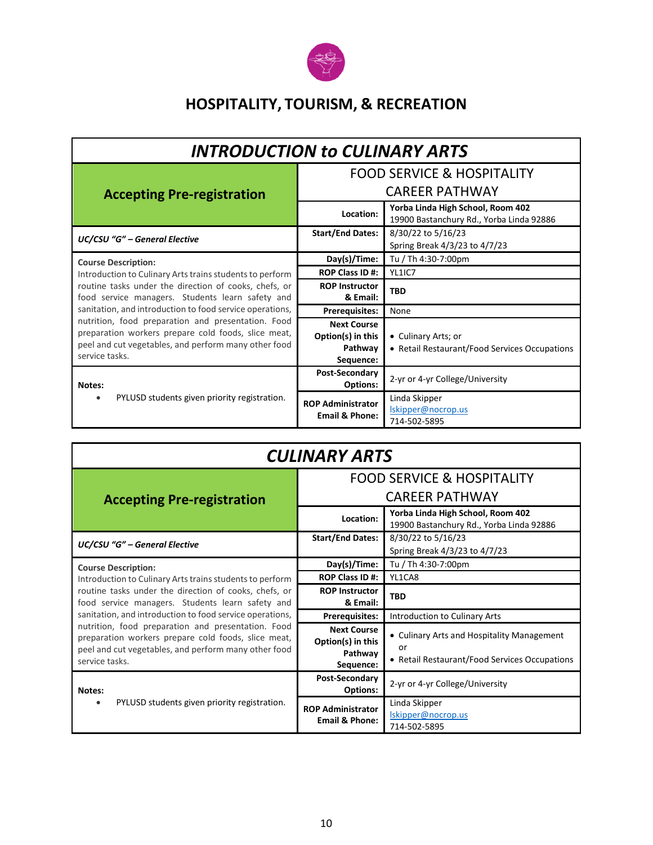

# **HOSPITALITY, TOURISM, & RECREATION**

| <b>INTRODUCTION to CULINARY ARTS</b>                                                                                                                                                                                                                                                                                                                                                                                     |                                                                 |                                                                               |  |
|--------------------------------------------------------------------------------------------------------------------------------------------------------------------------------------------------------------------------------------------------------------------------------------------------------------------------------------------------------------------------------------------------------------------------|-----------------------------------------------------------------|-------------------------------------------------------------------------------|--|
| <b>Accepting Pre-registration</b>                                                                                                                                                                                                                                                                                                                                                                                        |                                                                 | <b>FOOD SERVICE &amp; HOSPITALITY</b><br><b>CAREER PATHWAY</b>                |  |
|                                                                                                                                                                                                                                                                                                                                                                                                                          | Location:                                                       | Yorba Linda High School, Room 402<br>19900 Bastanchury Rd., Yorba Linda 92886 |  |
| <b>UC/CSU "G" - General Elective</b>                                                                                                                                                                                                                                                                                                                                                                                     | <b>Start/End Dates:</b>                                         | 8/30/22 to 5/16/23<br>Spring Break 4/3/23 to 4/7/23                           |  |
| <b>Course Description:</b>                                                                                                                                                                                                                                                                                                                                                                                               | Day(s)/Time:                                                    | Tu / Th 4:30-7:00pm                                                           |  |
| Introduction to Culinary Arts trains students to perform<br>routine tasks under the direction of cooks, chefs, or<br>food service managers. Students learn safety and<br>sanitation, and introduction to food service operations,<br>nutrition, food preparation and presentation. Food<br>preparation workers prepare cold foods, slice meat,<br>peel and cut vegetables, and perform many other food<br>service tasks. | <b>ROP Class ID#:</b>                                           | YL1IC7                                                                        |  |
|                                                                                                                                                                                                                                                                                                                                                                                                                          | <b>ROP Instructor</b><br>& Email:                               | <b>TBD</b>                                                                    |  |
|                                                                                                                                                                                                                                                                                                                                                                                                                          | <b>Prerequisites:</b>                                           | None                                                                          |  |
|                                                                                                                                                                                                                                                                                                                                                                                                                          | <b>Next Course</b><br>Option(s) in this<br>Pathway<br>Sequence: | • Culinary Arts; or<br>• Retail Restaurant/Food Services Occupations          |  |
| Notes:                                                                                                                                                                                                                                                                                                                                                                                                                   | Post-Secondary<br><b>Options:</b>                               | 2-yr or 4-yr College/University                                               |  |
| PYLUSD students given priority registration.<br>$\bullet$                                                                                                                                                                                                                                                                                                                                                                | <b>ROP Administrator</b><br><b>Email &amp; Phone:</b>           | Linda Skipper<br>lskipper@nocrop.us<br>714-502-5895                           |  |

| <b>CULINARY ARTS</b>                                                                                                                                                                                                                                                                                                                                                                                                                                   |                                         |                                                                               |  |
|--------------------------------------------------------------------------------------------------------------------------------------------------------------------------------------------------------------------------------------------------------------------------------------------------------------------------------------------------------------------------------------------------------------------------------------------------------|-----------------------------------------|-------------------------------------------------------------------------------|--|
|                                                                                                                                                                                                                                                                                                                                                                                                                                                        |                                         | <b>FOOD SERVICE &amp; HOSPITALITY</b>                                         |  |
| <b>Accepting Pre-registration</b>                                                                                                                                                                                                                                                                                                                                                                                                                      | <b>CAREER PATHWAY</b>                   |                                                                               |  |
|                                                                                                                                                                                                                                                                                                                                                                                                                                                        | Location:                               | Yorba Linda High School, Room 402<br>19900 Bastanchury Rd., Yorba Linda 92886 |  |
|                                                                                                                                                                                                                                                                                                                                                                                                                                                        | <b>Start/End Dates:</b>                 | 8/30/22 to 5/16/23                                                            |  |
| <b>UC/CSU "G" - General Elective</b>                                                                                                                                                                                                                                                                                                                                                                                                                   |                                         | Spring Break 4/3/23 to 4/7/23                                                 |  |
| <b>Course Description:</b><br>Introduction to Culinary Arts trains students to perform<br>routine tasks under the direction of cooks, chefs, or<br>food service managers. Students learn safety and<br>sanitation, and introduction to food service operations,<br>nutrition, food preparation and presentation. Food<br>preparation workers prepare cold foods, slice meat,<br>peel and cut vegetables, and perform many other food<br>service tasks. | Day(s)/Time:                            | Tu / Th 4:30-7:00pm                                                           |  |
|                                                                                                                                                                                                                                                                                                                                                                                                                                                        | <b>ROP Class ID#:</b>                   | YL1CA8                                                                        |  |
|                                                                                                                                                                                                                                                                                                                                                                                                                                                        | <b>ROP Instructor</b>                   | <b>TBD</b>                                                                    |  |
|                                                                                                                                                                                                                                                                                                                                                                                                                                                        | & Email:                                |                                                                               |  |
|                                                                                                                                                                                                                                                                                                                                                                                                                                                        | Prerequisites:                          | Introduction to Culinary Arts                                                 |  |
|                                                                                                                                                                                                                                                                                                                                                                                                                                                        | <b>Next Course</b><br>Option(s) in this | • Culinary Arts and Hospitality Management<br>or                              |  |
|                                                                                                                                                                                                                                                                                                                                                                                                                                                        | Pathway<br>Sequence:                    | • Retail Restaurant/Food Services Occupations                                 |  |
| Post-Secondary<br><b>Options:</b><br>Notes:<br>PYLUSD students given priority registration.<br><b>ROP Administrator</b><br><b>Email &amp; Phone:</b>                                                                                                                                                                                                                                                                                                   |                                         | 2-yr or 4-yr College/University                                               |  |
|                                                                                                                                                                                                                                                                                                                                                                                                                                                        |                                         | Linda Skipper                                                                 |  |
|                                                                                                                                                                                                                                                                                                                                                                                                                                                        |                                         | lskipper@nocrop.us                                                            |  |
|                                                                                                                                                                                                                                                                                                                                                                                                                                                        | 714-502-5895                            |                                                                               |  |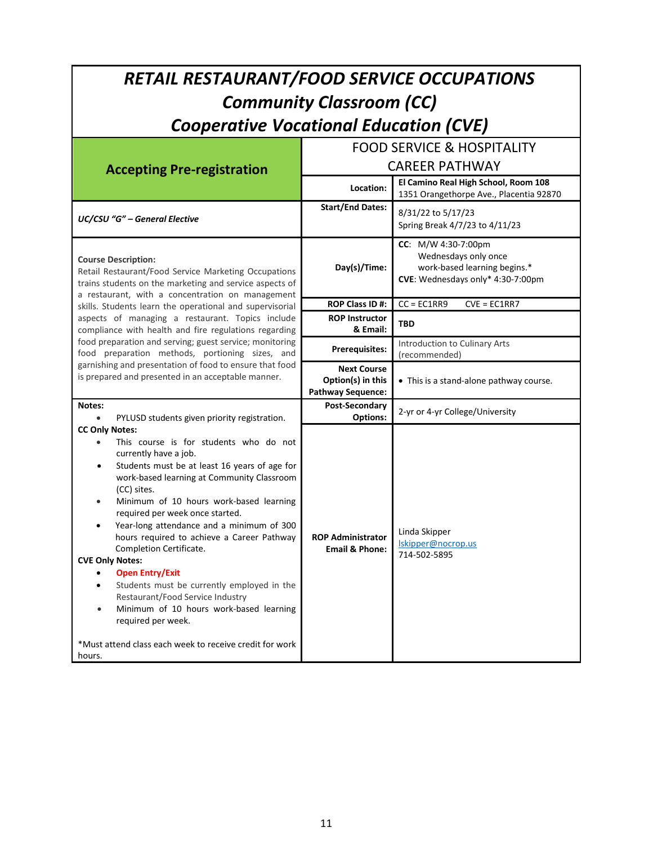| <b>RETAIL RESTAURANT/FOOD SERVICE OCCUPATIONS</b>                                                                                                                                                                                                                                                                                                                                                                                                                                                                                                                                                                                                                                                                                               |                                                                     |                                                                                                                  |
|-------------------------------------------------------------------------------------------------------------------------------------------------------------------------------------------------------------------------------------------------------------------------------------------------------------------------------------------------------------------------------------------------------------------------------------------------------------------------------------------------------------------------------------------------------------------------------------------------------------------------------------------------------------------------------------------------------------------------------------------------|---------------------------------------------------------------------|------------------------------------------------------------------------------------------------------------------|
| <b>Community Classroom (CC)</b>                                                                                                                                                                                                                                                                                                                                                                                                                                                                                                                                                                                                                                                                                                                 |                                                                     |                                                                                                                  |
| <b>Cooperative Vocational Education (CVE)</b>                                                                                                                                                                                                                                                                                                                                                                                                                                                                                                                                                                                                                                                                                                   |                                                                     |                                                                                                                  |
|                                                                                                                                                                                                                                                                                                                                                                                                                                                                                                                                                                                                                                                                                                                                                 |                                                                     | <b>FOOD SERVICE &amp; HOSPITALITY</b>                                                                            |
| <b>Accepting Pre-registration</b>                                                                                                                                                                                                                                                                                                                                                                                                                                                                                                                                                                                                                                                                                                               | <b>CAREER PATHWAY</b>                                               |                                                                                                                  |
|                                                                                                                                                                                                                                                                                                                                                                                                                                                                                                                                                                                                                                                                                                                                                 | Location:                                                           | El Camino Real High School, Room 108<br>1351 Orangethorpe Ave., Placentia 92870                                  |
| <b>UC/CSU "G" - General Elective</b>                                                                                                                                                                                                                                                                                                                                                                                                                                                                                                                                                                                                                                                                                                            | <b>Start/End Dates:</b>                                             | 8/31/22 to 5/17/23<br>Spring Break 4/7/23 to 4/11/23                                                             |
| <b>Course Description:</b><br>Retail Restaurant/Food Service Marketing Occupations<br>trains students on the marketing and service aspects of                                                                                                                                                                                                                                                                                                                                                                                                                                                                                                                                                                                                   | Day(s)/Time:                                                        | CC: M/W 4:30-7:00pm<br>Wednesdays only once<br>work-based learning begins.*<br>CVE: Wednesdays only* 4:30-7:00pm |
| a restaurant, with a concentration on management<br>skills. Students learn the operational and supervisorial                                                                                                                                                                                                                                                                                                                                                                                                                                                                                                                                                                                                                                    | ROP Class ID#:                                                      | $CC = EC1RR9$<br>$CVE = EC1RR7$                                                                                  |
| aspects of managing a restaurant. Topics include<br>compliance with health and fire regulations regarding                                                                                                                                                                                                                                                                                                                                                                                                                                                                                                                                                                                                                                       | <b>ROP Instructor</b><br>& Email:                                   | <b>TBD</b>                                                                                                       |
| food preparation and serving; guest service; monitoring<br>food preparation methods, portioning sizes, and                                                                                                                                                                                                                                                                                                                                                                                                                                                                                                                                                                                                                                      | <b>Prerequisites:</b>                                               | Introduction to Culinary Arts<br>(recommended)                                                                   |
| garnishing and presentation of food to ensure that food<br>is prepared and presented in an acceptable manner.                                                                                                                                                                                                                                                                                                                                                                                                                                                                                                                                                                                                                                   | <b>Next Course</b><br>Option(s) in this<br><b>Pathway Sequence:</b> | • This is a stand-alone pathway course.                                                                          |
| Notes:<br>PYLUSD students given priority registration.                                                                                                                                                                                                                                                                                                                                                                                                                                                                                                                                                                                                                                                                                          | Post-Secondary<br><b>Options:</b>                                   | 2-yr or 4-yr College/University                                                                                  |
| <b>CC Only Notes:</b><br>This course is for students who do not<br>currently have a job.<br>Students must be at least 16 years of age for<br>٠<br>work-based learning at Community Classroom<br>(CC) sites.<br>Minimum of 10 hours work-based learning<br>$\bullet$<br>required per week once started.<br>Year-long attendance and a minimum of 300<br>hours required to achieve a Career Pathway<br>Completion Certificate.<br><b>CVE Only Notes:</b><br><b>Open Entry/Exit</b><br>$\bullet$<br>Students must be currently employed in the<br>$\bullet$<br>Restaurant/Food Service Industry<br>Minimum of 10 hours work-based learning<br>$\bullet$<br>required per week.<br>*Must attend class each week to receive credit for work<br>hours. | <b>ROP Administrator</b><br><b>Email &amp; Phone:</b>               | Linda Skipper<br>Iskipper@nocrop.us<br>714-502-5895                                                              |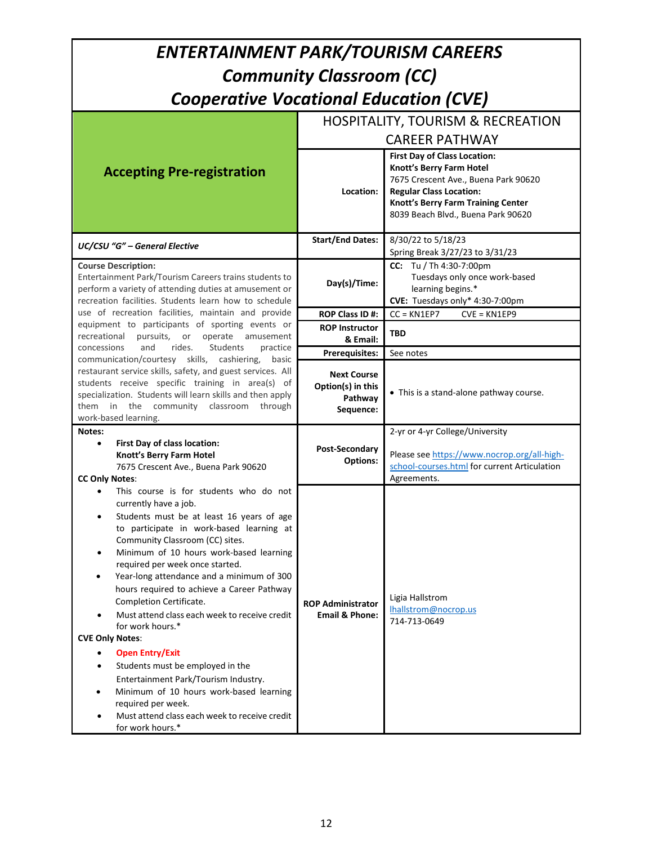| <b>ENTERTAINMENT PARK/TOURISM CAREERS</b>                                                                                                                                                                                                                                                                                                                                                                                                                                                                                                                                                                                                                                                                                                                            |                                                                 |                                                                                                                                                                                                                       |
|----------------------------------------------------------------------------------------------------------------------------------------------------------------------------------------------------------------------------------------------------------------------------------------------------------------------------------------------------------------------------------------------------------------------------------------------------------------------------------------------------------------------------------------------------------------------------------------------------------------------------------------------------------------------------------------------------------------------------------------------------------------------|-----------------------------------------------------------------|-----------------------------------------------------------------------------------------------------------------------------------------------------------------------------------------------------------------------|
| <b>Community Classroom (CC)</b>                                                                                                                                                                                                                                                                                                                                                                                                                                                                                                                                                                                                                                                                                                                                      |                                                                 |                                                                                                                                                                                                                       |
| <b>Cooperative Vocational Education (CVE)</b>                                                                                                                                                                                                                                                                                                                                                                                                                                                                                                                                                                                                                                                                                                                        |                                                                 |                                                                                                                                                                                                                       |
| <b>HOSPITALITY, TOURISM &amp; RECREATION</b>                                                                                                                                                                                                                                                                                                                                                                                                                                                                                                                                                                                                                                                                                                                         |                                                                 |                                                                                                                                                                                                                       |
|                                                                                                                                                                                                                                                                                                                                                                                                                                                                                                                                                                                                                                                                                                                                                                      | <b>CAREER PATHWAY</b>                                           |                                                                                                                                                                                                                       |
| <b>Accepting Pre-registration</b>                                                                                                                                                                                                                                                                                                                                                                                                                                                                                                                                                                                                                                                                                                                                    | Location:                                                       | <b>First Day of Class Location:</b><br>Knott's Berry Farm Hotel<br>7675 Crescent Ave., Buena Park 90620<br><b>Regular Class Location:</b><br>Knott's Berry Farm Training Center<br>8039 Beach Blvd., Buena Park 90620 |
| <b>UC/CSU "G" - General Elective</b>                                                                                                                                                                                                                                                                                                                                                                                                                                                                                                                                                                                                                                                                                                                                 | <b>Start/End Dates:</b>                                         | 8/30/22 to 5/18/23                                                                                                                                                                                                    |
| <b>Course Description:</b><br>Entertainment Park/Tourism Careers trains students to<br>perform a variety of attending duties at amusement or<br>recreation facilities. Students learn how to schedule                                                                                                                                                                                                                                                                                                                                                                                                                                                                                                                                                                | Day(s)/Time:                                                    | Spring Break 3/27/23 to 3/31/23<br>CC: Tu / Th 4:30-7:00pm<br>Tuesdays only once work-based<br>learning begins.*<br>CVE: Tuesdays only* 4:30-7:00pm                                                                   |
| use of recreation facilities, maintain and provide                                                                                                                                                                                                                                                                                                                                                                                                                                                                                                                                                                                                                                                                                                                   | ROP Class ID #:                                                 | $CC = KN1EP7$<br>$CVE = KN1EP9$                                                                                                                                                                                       |
| equipment to participants of sporting events or<br>recreational<br>pursuits, or operate amusement                                                                                                                                                                                                                                                                                                                                                                                                                                                                                                                                                                                                                                                                    | <b>ROP Instructor</b><br>& Email:                               | <b>TBD</b>                                                                                                                                                                                                            |
| and<br>rides.<br>Students<br>concessions<br>practice<br>communication/courtesy skills, cashiering,<br>basic                                                                                                                                                                                                                                                                                                                                                                                                                                                                                                                                                                                                                                                          | <b>Prerequisites:</b>                                           | See notes                                                                                                                                                                                                             |
| restaurant service skills, safety, and guest services. All<br>students receive specific training in area(s) of<br>specialization. Students will learn skills and then apply<br>them in the community classroom<br>through<br>work-based learning.                                                                                                                                                                                                                                                                                                                                                                                                                                                                                                                    | <b>Next Course</b><br>Option(s) in this<br>Pathway<br>Sequence: | • This is a stand-alone pathway course.                                                                                                                                                                               |
| Notes:<br>First Day of class location:<br>$\bullet$<br>Knott's Berry Farm Hotel<br>7675 Crescent Ave., Buena Park 90620<br><b>CC Only Notes:</b>                                                                                                                                                                                                                                                                                                                                                                                                                                                                                                                                                                                                                     | Post-Secondary<br><b>Options:</b>                               | 2-yr or 4-yr College/University<br>Please see https://www.nocrop.org/all-high-<br>school-courses.html for current Articulation<br>Agreements.                                                                         |
| This course is for students who do not<br>currently have a job.<br>Students must be at least 16 years of age<br>to participate in work-based learning at<br>Community Classroom (CC) sites.<br>Minimum of 10 hours work-based learning<br>required per week once started.<br>Year-long attendance and a minimum of 300<br>hours required to achieve a Career Pathway<br>Completion Certificate.<br>Must attend class each week to receive credit<br>for work hours.*<br><b>CVE Only Notes:</b><br><b>Open Entry/Exit</b><br>$\bullet$<br>Students must be employed in the<br>Entertainment Park/Tourism Industry.<br>Minimum of 10 hours work-based learning<br>$\bullet$<br>required per week.<br>Must attend class each week to receive credit<br>for work hours.* | <b>ROP Administrator</b><br><b>Email &amp; Phone:</b>           | Ligia Hallstrom<br>lhallstrom@nocrop.us<br>714-713-0649                                                                                                                                                               |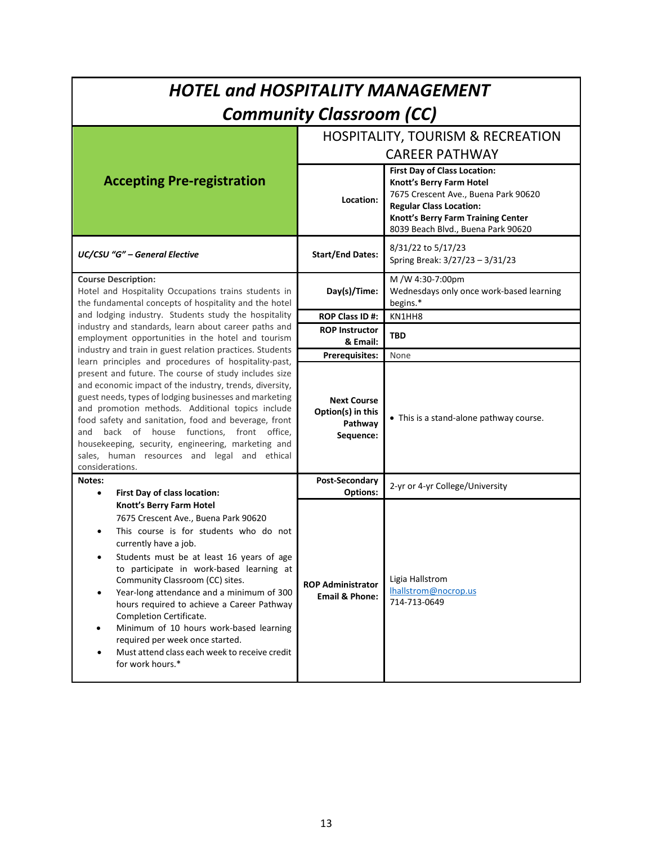| <b>HOTEL and HOSPITALITY MANAGEMENT</b>                                                                                                                                                                                                                                                                                                                                                                                                                                                                                                  |                                                                       |                                                                                                                                                                                                                       |
|------------------------------------------------------------------------------------------------------------------------------------------------------------------------------------------------------------------------------------------------------------------------------------------------------------------------------------------------------------------------------------------------------------------------------------------------------------------------------------------------------------------------------------------|-----------------------------------------------------------------------|-----------------------------------------------------------------------------------------------------------------------------------------------------------------------------------------------------------------------|
| <b>Community Classroom (CC)</b>                                                                                                                                                                                                                                                                                                                                                                                                                                                                                                          |                                                                       |                                                                                                                                                                                                                       |
|                                                                                                                                                                                                                                                                                                                                                                                                                                                                                                                                          | <b>HOSPITALITY, TOURISM &amp; RECREATION</b><br><b>CAREER PATHWAY</b> |                                                                                                                                                                                                                       |
| <b>Accepting Pre-registration</b>                                                                                                                                                                                                                                                                                                                                                                                                                                                                                                        | Location:                                                             | <b>First Day of Class Location:</b><br>Knott's Berry Farm Hotel<br>7675 Crescent Ave., Buena Park 90620<br><b>Regular Class Location:</b><br>Knott's Berry Farm Training Center<br>8039 Beach Blvd., Buena Park 90620 |
| <b>UC/CSU "G" - General Elective</b>                                                                                                                                                                                                                                                                                                                                                                                                                                                                                                     | <b>Start/End Dates:</b>                                               | 8/31/22 to 5/17/23<br>Spring Break: 3/27/23 - 3/31/23                                                                                                                                                                 |
| <b>Course Description:</b><br>Hotel and Hospitality Occupations trains students in<br>the fundamental concepts of hospitality and the hotel                                                                                                                                                                                                                                                                                                                                                                                              | Day(s)/Time:                                                          | M /W 4:30-7:00pm<br>Wednesdays only once work-based learning<br>begins.*                                                                                                                                              |
| and lodging industry. Students study the hospitality                                                                                                                                                                                                                                                                                                                                                                                                                                                                                     | ROP Class ID #:                                                       | KN1HH8                                                                                                                                                                                                                |
| industry and standards, learn about career paths and<br>employment opportunities in the hotel and tourism                                                                                                                                                                                                                                                                                                                                                                                                                                | <b>ROP Instructor</b><br>& Email:                                     | <b>TBD</b>                                                                                                                                                                                                            |
| industry and train in guest relation practices. Students                                                                                                                                                                                                                                                                                                                                                                                                                                                                                 | <b>Prerequisites:</b>                                                 | None                                                                                                                                                                                                                  |
| learn principles and procedures of hospitality-past,<br>present and future. The course of study includes size<br>and economic impact of the industry, trends, diversity,<br>guest needs, types of lodging businesses and marketing<br>and promotion methods. Additional topics include<br>food safety and sanitation, food and beverage, front<br>back of house functions, front office,<br>and<br>housekeeping, security, engineering, marketing and<br>sales, human resources and legal and ethical<br>considerations.                 | <b>Next Course</b><br>Option(s) in this<br>Pathway<br>Sequence:       | • This is a stand-alone pathway course.                                                                                                                                                                               |
| Notes:<br>First Day of class location:<br>$\bullet$                                                                                                                                                                                                                                                                                                                                                                                                                                                                                      | Post-Secondary<br><b>Options:</b>                                     | 2-yr or 4-yr College/University                                                                                                                                                                                       |
| Knott's Berry Farm Hotel<br>7675 Crescent Ave., Buena Park 90620<br>This course is for students who do not<br>currently have a job.<br>Students must be at least 16 years of age<br>to participate in work-based learning at<br>Community Classroom (CC) sites.<br>Year-long attendance and a minimum of 300<br>hours required to achieve a Career Pathway<br>Completion Certificate.<br>Minimum of 10 hours work-based learning<br>required per week once started.<br>Must attend class each week to receive credit<br>for work hours.* | <b>ROP Administrator</b><br><b>Email &amp; Phone:</b>                 | Ligia Hallstrom<br>lhallstrom@nocrop.us<br>714-713-0649                                                                                                                                                               |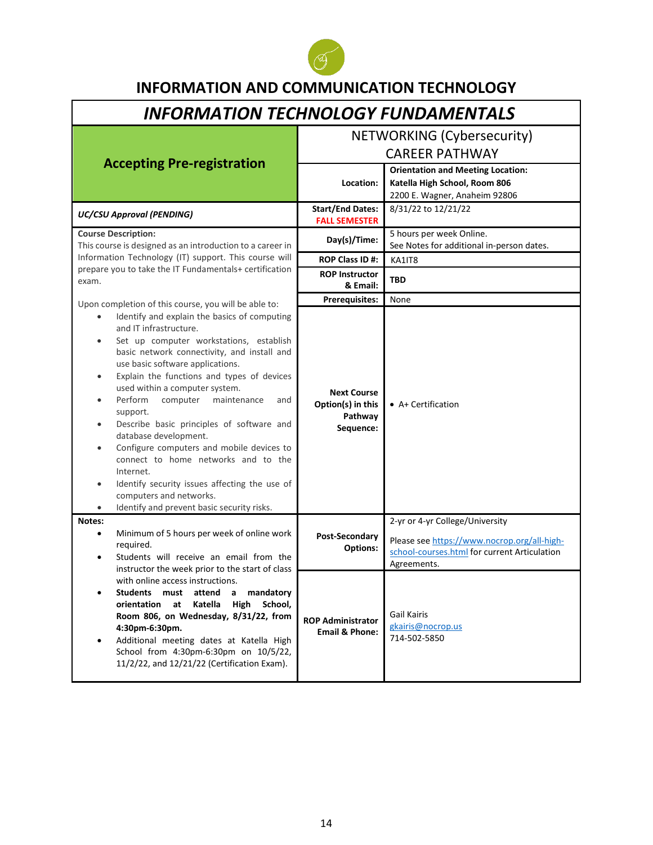

## **INFORMATION AND COMMUNICATION TECHNOLOGY**

## *INFORMATION TECHNOLOGY FUNDAMENTALS*

|                                                                                                                                                                                                                                                                                                                                                                                                                                                                                                                                                                                                                                                                          |                                                                 | <b>NETWORKING (Cybersecurity)</b>                                                                                                             |  |
|--------------------------------------------------------------------------------------------------------------------------------------------------------------------------------------------------------------------------------------------------------------------------------------------------------------------------------------------------------------------------------------------------------------------------------------------------------------------------------------------------------------------------------------------------------------------------------------------------------------------------------------------------------------------------|-----------------------------------------------------------------|-----------------------------------------------------------------------------------------------------------------------------------------------|--|
|                                                                                                                                                                                                                                                                                                                                                                                                                                                                                                                                                                                                                                                                          |                                                                 | <b>CAREER PATHWAY</b>                                                                                                                         |  |
| <b>Accepting Pre-registration</b>                                                                                                                                                                                                                                                                                                                                                                                                                                                                                                                                                                                                                                        | Location:                                                       | <b>Orientation and Meeting Location:</b><br>Katella High School, Room 806<br>2200 E. Wagner, Anaheim 92806                                    |  |
| <b>UC/CSU Approval (PENDING)</b>                                                                                                                                                                                                                                                                                                                                                                                                                                                                                                                                                                                                                                         | <b>Start/End Dates:</b><br><b>FALL SEMESTER</b>                 | 8/31/22 to 12/21/22                                                                                                                           |  |
| <b>Course Description:</b><br>This course is designed as an introduction to a career in                                                                                                                                                                                                                                                                                                                                                                                                                                                                                                                                                                                  | Day(s)/Time:                                                    | 5 hours per week Online.<br>See Notes for additional in-person dates.                                                                         |  |
| Information Technology (IT) support. This course will                                                                                                                                                                                                                                                                                                                                                                                                                                                                                                                                                                                                                    | ROP Class ID #:                                                 | KA1IT8                                                                                                                                        |  |
| prepare you to take the IT Fundamentals+ certification<br>exam.                                                                                                                                                                                                                                                                                                                                                                                                                                                                                                                                                                                                          | <b>ROP Instructor</b><br>& Email:                               | <b>TBD</b>                                                                                                                                    |  |
| Upon completion of this course, you will be able to:                                                                                                                                                                                                                                                                                                                                                                                                                                                                                                                                                                                                                     | <b>Prerequisites:</b>                                           | None                                                                                                                                          |  |
| Identify and explain the basics of computing<br>and IT infrastructure.<br>Set up computer workstations, establish<br>basic network connectivity, and install and<br>use basic software applications.<br>Explain the functions and types of devices<br>$\bullet$<br>used within a computer system.<br>Perform<br>computer<br>maintenance<br>and<br>support.<br>Describe basic principles of software and<br>database development.<br>Configure computers and mobile devices to<br>connect to home networks and to the<br>Internet.<br>Identify security issues affecting the use of<br>computers and networks.<br>Identify and prevent basic security risks.<br>$\bullet$ | <b>Next Course</b><br>Option(s) in this<br>Pathway<br>Sequence: | • A+ Certification                                                                                                                            |  |
| Notes:<br>Minimum of 5 hours per week of online work<br>required.<br>Students will receive an email from the<br>instructor the week prior to the start of class<br>with online access instructions.<br>Students must attend<br>mandatory<br>$\mathbf{a}$<br>orientation at<br>Katella<br>High<br>School,<br>Room 806, on Wednesday, 8/31/22, from<br>4:30pm-6:30pm.<br>Additional meeting dates at Katella High<br>School from 4:30pm-6:30pm on 10/5/22,<br>11/2/22, and 12/21/22 (Certification Exam).                                                                                                                                                                  | Post-Secondary<br><b>Options:</b>                               | 2-yr or 4-yr College/University<br>Please see https://www.nocrop.org/all-high-<br>school-courses.html for current Articulation<br>Agreements. |  |
|                                                                                                                                                                                                                                                                                                                                                                                                                                                                                                                                                                                                                                                                          | <b>ROP Administrator</b><br><b>Email &amp; Phone:</b>           | <b>Gail Kairis</b><br>gkairis@nocrop.us<br>714-502-5850                                                                                       |  |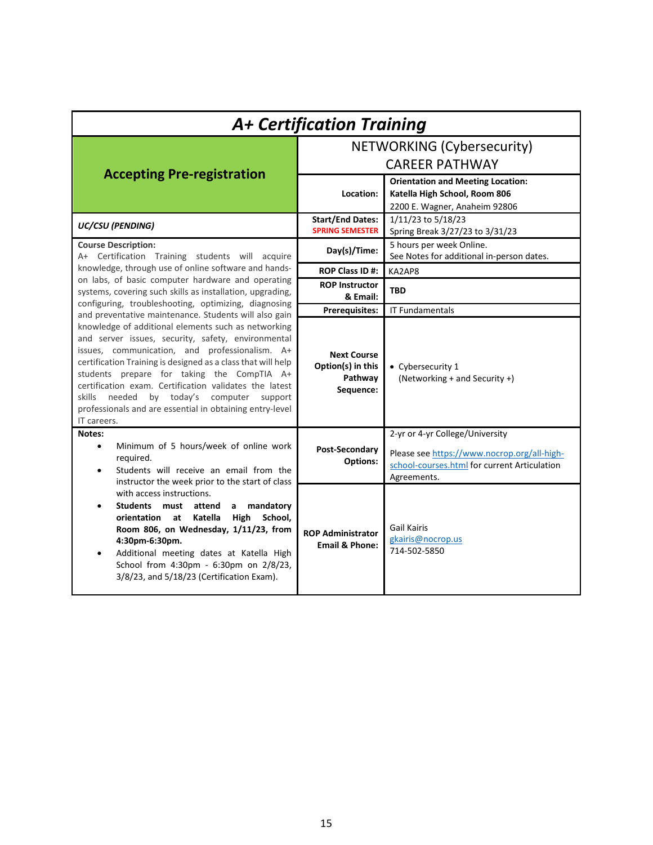| <b>A+ Certification Training</b>                                                                                                                                                                                                                                                                                                                                                                                                                                                                              |                                                                 |                                                                                                                                               |
|---------------------------------------------------------------------------------------------------------------------------------------------------------------------------------------------------------------------------------------------------------------------------------------------------------------------------------------------------------------------------------------------------------------------------------------------------------------------------------------------------------------|-----------------------------------------------------------------|-----------------------------------------------------------------------------------------------------------------------------------------------|
| <b>Accepting Pre-registration</b>                                                                                                                                                                                                                                                                                                                                                                                                                                                                             | <b>NETWORKING (Cybersecurity)</b><br><b>CAREER PATHWAY</b>      |                                                                                                                                               |
|                                                                                                                                                                                                                                                                                                                                                                                                                                                                                                               | Location:                                                       | <b>Orientation and Meeting Location:</b><br>Katella High School, Room 806<br>2200 E. Wagner, Anaheim 92806                                    |
| <b>UC/CSU (PENDING)</b>                                                                                                                                                                                                                                                                                                                                                                                                                                                                                       | <b>Start/End Dates:</b><br><b>SPRING SEMESTER</b>               | 1/11/23 to 5/18/23<br>Spring Break 3/27/23 to 3/31/23                                                                                         |
| <b>Course Description:</b><br>A+ Certification Training students will acquire                                                                                                                                                                                                                                                                                                                                                                                                                                 | Day(s)/Time:                                                    | 5 hours per week Online.<br>See Notes for additional in-person dates.                                                                         |
| knowledge, through use of online software and hands-                                                                                                                                                                                                                                                                                                                                                                                                                                                          | ROP Class ID #:                                                 | KA2AP8                                                                                                                                        |
| on labs, of basic computer hardware and operating<br>systems, covering such skills as installation, upgrading,                                                                                                                                                                                                                                                                                                                                                                                                | <b>ROP Instructor</b><br>& Email:                               | <b>TBD</b>                                                                                                                                    |
| configuring, troubleshooting, optimizing, diagnosing<br>and preventative maintenance. Students will also gain                                                                                                                                                                                                                                                                                                                                                                                                 | <b>Prerequisites:</b>                                           | <b>IT Fundamentals</b>                                                                                                                        |
| knowledge of additional elements such as networking<br>and server issues, security, safety, environmental<br>issues, communication, and professionalism. A+<br>certification Training is designed as a class that will help<br>students prepare for taking the CompTIA A+<br>certification exam. Certification validates the latest<br>skills<br>by today's computer<br>needed<br>support<br>professionals and are essential in obtaining entry-level<br>IT careers.                                          | <b>Next Course</b><br>Option(s) in this<br>Pathway<br>Sequence: | • Cybersecurity 1<br>(Networking + and Security +)                                                                                            |
| Notes:<br>Minimum of 5 hours/week of online work<br>$\bullet$<br>required.<br>Students will receive an email from the<br>$\bullet$<br>instructor the week prior to the start of class<br>with access instructions.<br>Students must<br>attend<br>mandatory<br>a<br>orientation at<br>Katella<br>High<br>School,<br>Room 806, on Wednesday, 1/11/23, from<br>4:30pm-6:30pm.<br>Additional meeting dates at Katella High<br>School from 4:30pm - 6:30pm on 2/8/23,<br>3/8/23, and 5/18/23 (Certification Exam). | Post-Secondary<br><b>Options:</b>                               | 2-yr or 4-yr College/University<br>Please see https://www.nocrop.org/all-high-<br>school-courses.html for current Articulation<br>Agreements. |
|                                                                                                                                                                                                                                                                                                                                                                                                                                                                                                               | <b>ROP Administrator</b><br><b>Email &amp; Phone:</b>           | <b>Gail Kairis</b><br>gkairis@nocrop.us<br>714-502-5850                                                                                       |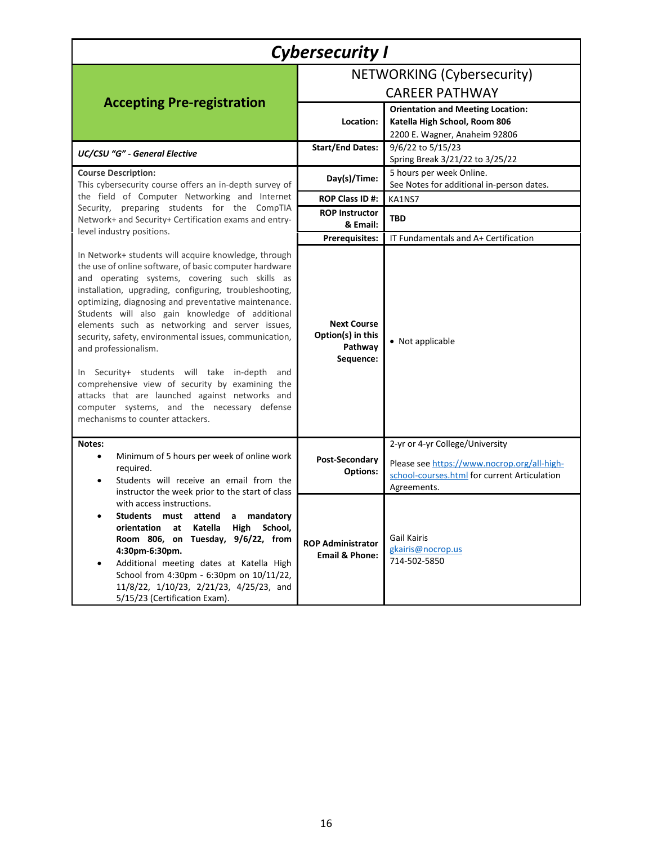| <b>Cybersecurity I</b>                                                                                                                                                                                                                                                                                                                                                                                                                                                                                                                                                                                                                                                                                            |                                                                 |                                                                                                                                               |
|-------------------------------------------------------------------------------------------------------------------------------------------------------------------------------------------------------------------------------------------------------------------------------------------------------------------------------------------------------------------------------------------------------------------------------------------------------------------------------------------------------------------------------------------------------------------------------------------------------------------------------------------------------------------------------------------------------------------|-----------------------------------------------------------------|-----------------------------------------------------------------------------------------------------------------------------------------------|
| <b>Accepting Pre-registration</b>                                                                                                                                                                                                                                                                                                                                                                                                                                                                                                                                                                                                                                                                                 | <b>NETWORKING (Cybersecurity)</b><br><b>CAREER PATHWAY</b>      |                                                                                                                                               |
|                                                                                                                                                                                                                                                                                                                                                                                                                                                                                                                                                                                                                                                                                                                   | Location:                                                       | <b>Orientation and Meeting Location:</b><br>Katella High School, Room 806<br>2200 E. Wagner, Anaheim 92806                                    |
| <b>UC/CSU "G" - General Elective</b>                                                                                                                                                                                                                                                                                                                                                                                                                                                                                                                                                                                                                                                                              | <b>Start/End Dates:</b>                                         | 9/6/22 to 5/15/23<br>Spring Break 3/21/22 to 3/25/22                                                                                          |
| <b>Course Description:</b><br>This cybersecurity course offers an in-depth survey of                                                                                                                                                                                                                                                                                                                                                                                                                                                                                                                                                                                                                              | Day(s)/Time:                                                    | 5 hours per week Online.<br>See Notes for additional in-person dates.                                                                         |
| the field of Computer Networking and Internet                                                                                                                                                                                                                                                                                                                                                                                                                                                                                                                                                                                                                                                                     | ROP Class ID #:                                                 | KA1NS7                                                                                                                                        |
| Security, preparing students for the CompTIA<br>Network+ and Security+ Certification exams and entry-<br>level industry positions.                                                                                                                                                                                                                                                                                                                                                                                                                                                                                                                                                                                | <b>ROP Instructor</b><br>& Email:                               | <b>TBD</b>                                                                                                                                    |
|                                                                                                                                                                                                                                                                                                                                                                                                                                                                                                                                                                                                                                                                                                                   | <b>Prerequisites:</b>                                           | IT Fundamentals and A+ Certification                                                                                                          |
| In Network+ students will acquire knowledge, through<br>the use of online software, of basic computer hardware<br>and operating systems, covering such skills as<br>installation, upgrading, configuring, troubleshooting,<br>optimizing, diagnosing and preventative maintenance.<br>Students will also gain knowledge of additional<br>elements such as networking and server issues,<br>security, safety, environmental issues, communication,<br>and professionalism.<br>In Security+ students will take in-depth and<br>comprehensive view of security by examining the<br>attacks that are launched against networks and<br>computer systems, and the necessary defense<br>mechanisms to counter attackers. | <b>Next Course</b><br>Option(s) in this<br>Pathway<br>Sequence: | • Not applicable                                                                                                                              |
| Notes:<br>Minimum of 5 hours per week of online work<br>$\bullet$<br>required.<br>Students will receive an email from the<br>$\bullet$<br>instructor the week prior to the start of class                                                                                                                                                                                                                                                                                                                                                                                                                                                                                                                         | <b>Post-Secondary</b><br><b>Options:</b>                        | 2-yr or 4-yr College/University<br>Please see https://www.nocrop.org/all-high-<br>school-courses.html for current Articulation<br>Agreements. |
| with access instructions.<br>Students must attend a mandatory<br>Katella High School,<br>orientation at<br>Room 806, on Tuesday, 9/6/22, from<br>4:30pm-6:30pm.<br>Additional meeting dates at Katella High<br>School from 4:30pm - 6:30pm on 10/11/22,<br>11/8/22, 1/10/23, 2/21/23, 4/25/23, and<br>5/15/23 (Certification Exam).                                                                                                                                                                                                                                                                                                                                                                               | <b>ROP Administrator</b><br><b>Email &amp; Phone:</b>           | Gail Kairis<br>gkairis@nocrop.us<br>714-502-5850                                                                                              |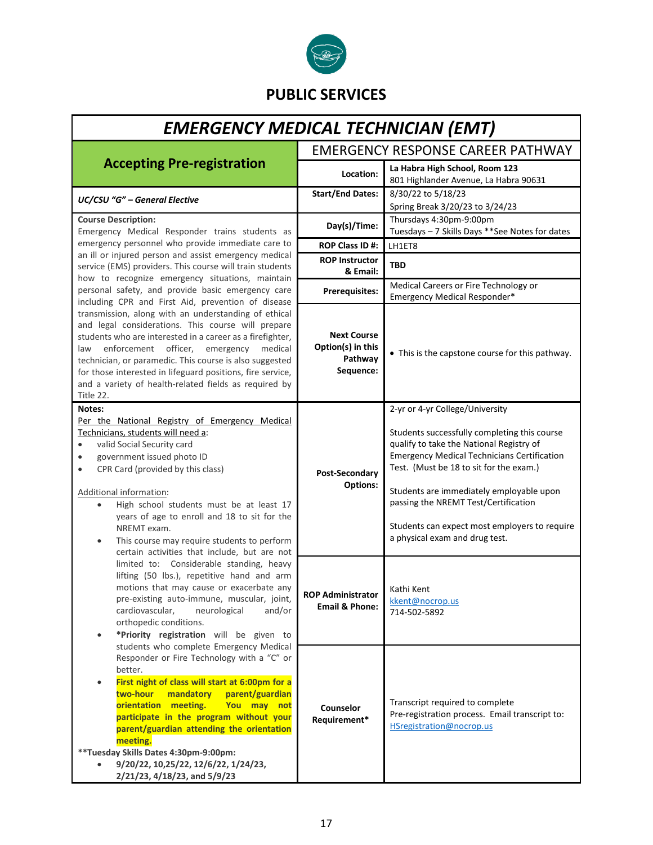

## **PUBLIC SERVICES**

# *EMERGENCY MEDICAL TECHNICIAN (EMT)*

|                                                                                                                                                                                                                                                                                                                                                                                                                                                                                                                                                                                                                                                                                                                                                                                                       | <b>EMERGENCY RESPONSE CAREER PATHWAY</b>                                            |                                                                                                                                                                                                                                                                                                                                                                                                                                                      |
|-------------------------------------------------------------------------------------------------------------------------------------------------------------------------------------------------------------------------------------------------------------------------------------------------------------------------------------------------------------------------------------------------------------------------------------------------------------------------------------------------------------------------------------------------------------------------------------------------------------------------------------------------------------------------------------------------------------------------------------------------------------------------------------------------------|-------------------------------------------------------------------------------------|------------------------------------------------------------------------------------------------------------------------------------------------------------------------------------------------------------------------------------------------------------------------------------------------------------------------------------------------------------------------------------------------------------------------------------------------------|
| <b>Accepting Pre-registration</b>                                                                                                                                                                                                                                                                                                                                                                                                                                                                                                                                                                                                                                                                                                                                                                     | Location:                                                                           | La Habra High School, Room 123<br>801 Highlander Avenue, La Habra 90631                                                                                                                                                                                                                                                                                                                                                                              |
| <b>UC/CSU "G" - General Elective</b>                                                                                                                                                                                                                                                                                                                                                                                                                                                                                                                                                                                                                                                                                                                                                                  | <b>Start/End Dates:</b>                                                             | 8/30/22 to 5/18/23                                                                                                                                                                                                                                                                                                                                                                                                                                   |
|                                                                                                                                                                                                                                                                                                                                                                                                                                                                                                                                                                                                                                                                                                                                                                                                       |                                                                                     | Spring Break 3/20/23 to 3/24/23                                                                                                                                                                                                                                                                                                                                                                                                                      |
| <b>Course Description:</b>                                                                                                                                                                                                                                                                                                                                                                                                                                                                                                                                                                                                                                                                                                                                                                            | Day(s)/Time:                                                                        | Thursdays 4:30pm-9:00pm                                                                                                                                                                                                                                                                                                                                                                                                                              |
| Emergency Medical Responder trains students as                                                                                                                                                                                                                                                                                                                                                                                                                                                                                                                                                                                                                                                                                                                                                        |                                                                                     | Tuesdays - 7 Skills Days ** See Notes for dates                                                                                                                                                                                                                                                                                                                                                                                                      |
| emergency personnel who provide immediate care to                                                                                                                                                                                                                                                                                                                                                                                                                                                                                                                                                                                                                                                                                                                                                     | ROP Class ID#:                                                                      | LH1ET8                                                                                                                                                                                                                                                                                                                                                                                                                                               |
| an ill or injured person and assist emergency medical                                                                                                                                                                                                                                                                                                                                                                                                                                                                                                                                                                                                                                                                                                                                                 | <b>ROP Instructor</b>                                                               |                                                                                                                                                                                                                                                                                                                                                                                                                                                      |
| service (EMS) providers. This course will train students                                                                                                                                                                                                                                                                                                                                                                                                                                                                                                                                                                                                                                                                                                                                              | & Email:                                                                            | <b>TBD</b>                                                                                                                                                                                                                                                                                                                                                                                                                                           |
| how to recognize emergency situations, maintain                                                                                                                                                                                                                                                                                                                                                                                                                                                                                                                                                                                                                                                                                                                                                       |                                                                                     | Medical Careers or Fire Technology or                                                                                                                                                                                                                                                                                                                                                                                                                |
| personal safety, and provide basic emergency care                                                                                                                                                                                                                                                                                                                                                                                                                                                                                                                                                                                                                                                                                                                                                     | <b>Prerequisites:</b>                                                               | Emergency Medical Responder*                                                                                                                                                                                                                                                                                                                                                                                                                         |
| including CPR and First Aid, prevention of disease                                                                                                                                                                                                                                                                                                                                                                                                                                                                                                                                                                                                                                                                                                                                                    |                                                                                     |                                                                                                                                                                                                                                                                                                                                                                                                                                                      |
| transmission, along with an understanding of ethical<br>and legal considerations. This course will prepare<br>students who are interested in a career as a firefighter,<br>officer, emergency<br>enforcement<br>law<br>medical<br>technician, or paramedic. This course is also suggested<br>for those interested in lifeguard positions, fire service,<br>and a variety of health-related fields as required by                                                                                                                                                                                                                                                                                                                                                                                      | <b>Next Course</b><br>Option(s) in this<br>Pathway<br>Sequence:                     | • This is the capstone course for this pathway.                                                                                                                                                                                                                                                                                                                                                                                                      |
| Title 22.                                                                                                                                                                                                                                                                                                                                                                                                                                                                                                                                                                                                                                                                                                                                                                                             |                                                                                     |                                                                                                                                                                                                                                                                                                                                                                                                                                                      |
| Notes:<br>Per the National Registry of Emergency Medical<br>Technicians, students will need a:<br>valid Social Security card<br>$\bullet$<br>government issued photo ID<br>$\bullet$<br>CPR Card (provided by this class)<br>$\bullet$<br>Additional information:<br>High school students must be at least 17<br>$\bullet$<br>years of age to enroll and 18 to sit for the<br>NREMT exam.<br>This course may require students to perform<br>$\bullet$<br>certain activities that include, but are not<br>limited to: Considerable standing, heavy<br>lifting (50 lbs.), repetitive hand and arm<br>motions that may cause or exacerbate any<br>pre-existing auto-immune, muscular, joint,<br>cardiovascular, neurological and/or<br>orthopedic conditions.<br>*Priority registration will be given to | Post-Secondary<br>Options:<br><b>ROP Administrator</b><br><b>Email &amp; Phone:</b> | 2-yr or 4-yr College/University<br>Students successfully completing this course<br>qualify to take the National Registry of<br><b>Emergency Medical Technicians Certification</b><br>Test. (Must be 18 to sit for the exam.)<br>Students are immediately employable upon<br>passing the NREMT Test/Certification<br>Students can expect most employers to require<br>a physical exam and drug test.<br>Kathi Kent<br>kkent@nocrop.us<br>714-502-5892 |
| students who complete Emergency Medical<br>Responder or Fire Technology with a "C" or<br>better.<br>First night of class will start at 6:00pm for a<br>$\bullet$<br>two-hour<br>parent/guardian<br>mandatory<br>orientation meeting.<br>You may not<br>participate in the program without your<br>parent/guardian attending the orientation<br>meeting.<br>**Tuesday Skills Dates 4:30pm-9:00pm:<br>9/20/22, 10,25/22, 12/6/22, 1/24/23,<br>2/21/23, 4/18/23, and 5/9/23                                                                                                                                                                                                                                                                                                                              | Counselor<br>Requirement*                                                           | Transcript required to complete<br>Pre-registration process. Email transcript to:<br>HSregistration@nocrop.us                                                                                                                                                                                                                                                                                                                                        |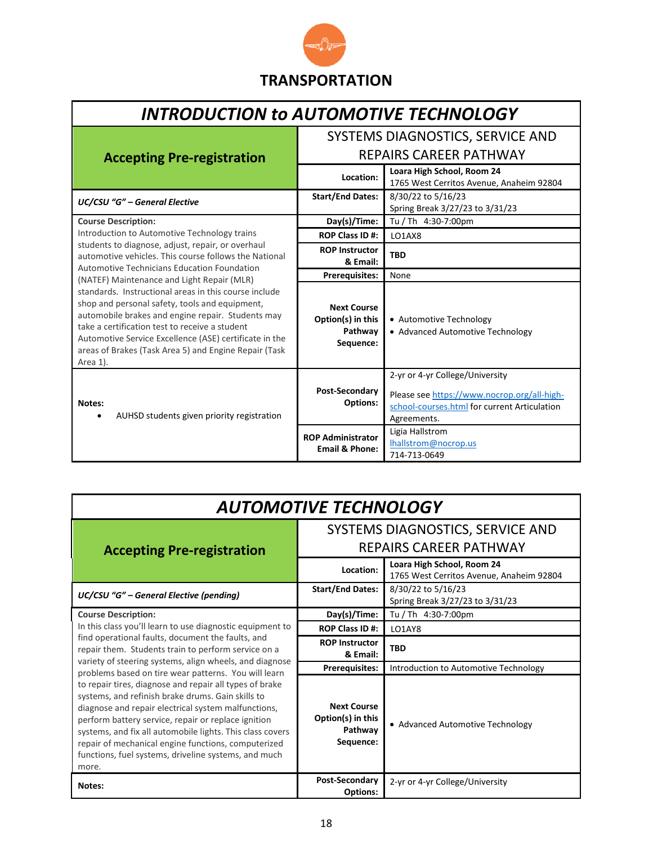

# *INTRODUCTION to AUTOMOTIVE TECHNOLOGY*

|                                                                                                                                                                                                                                                                                                                                               | SYSTEMS DIAGNOSTICS, SERVICE AND                                |                                                                                                                                               |
|-----------------------------------------------------------------------------------------------------------------------------------------------------------------------------------------------------------------------------------------------------------------------------------------------------------------------------------------------|-----------------------------------------------------------------|-----------------------------------------------------------------------------------------------------------------------------------------------|
| <b>Accepting Pre-registration</b>                                                                                                                                                                                                                                                                                                             | REPAIRS CAREER PATHWAY                                          |                                                                                                                                               |
|                                                                                                                                                                                                                                                                                                                                               | Location:                                                       | Loara High School, Room 24<br>1765 West Cerritos Avenue, Anaheim 92804                                                                        |
| <b>UC/CSU "G" - General Elective</b>                                                                                                                                                                                                                                                                                                          | <b>Start/End Dates:</b>                                         | 8/30/22 to 5/16/23<br>Spring Break 3/27/23 to 3/31/23                                                                                         |
| <b>Course Description:</b>                                                                                                                                                                                                                                                                                                                    | Day(s)/Time:                                                    | Tu / Th 4:30-7:00pm                                                                                                                           |
| Introduction to Automotive Technology trains                                                                                                                                                                                                                                                                                                  | <b>ROP Class ID#:</b>                                           | LO1AX8                                                                                                                                        |
| students to diagnose, adjust, repair, or overhaul<br>automotive vehicles. This course follows the National<br><b>Automotive Technicians Education Foundation</b>                                                                                                                                                                              | <b>ROP Instructor</b><br>& Email:                               | <b>TBD</b>                                                                                                                                    |
| (NATEF) Maintenance and Light Repair (MLR)                                                                                                                                                                                                                                                                                                    | <b>Prerequisites:</b>                                           | None                                                                                                                                          |
| standards. Instructional areas in this course include<br>shop and personal safety, tools and equipment,<br>automobile brakes and engine repair. Students may<br>take a certification test to receive a student<br>Automotive Service Excellence (ASE) certificate in the<br>areas of Brakes (Task Area 5) and Engine Repair (Task<br>Area 1). | <b>Next Course</b><br>Option(s) in this<br>Pathway<br>Sequence: | • Automotive Technology<br>• Advanced Automotive Technology                                                                                   |
| Notes:<br>AUHSD students given priority registration                                                                                                                                                                                                                                                                                          | Post-Secondary<br>Options:                                      | 2-yr or 4-yr College/University<br>Please see https://www.nocrop.org/all-high-<br>school-courses.html for current Articulation<br>Agreements. |
|                                                                                                                                                                                                                                                                                                                                               | <b>ROP Administrator</b><br><b>Email &amp; Phone:</b>           | Ligia Hallstrom<br>lhallstrom@nocrop.us<br>714-713-0649                                                                                       |

| <b>AUTOMOTIVE TECHNOLOGY</b>                                                                                                                                                                                                                                                                                                                                                                                                                                                                                                                                                                                                                   |                                                                   |                                                                        |
|------------------------------------------------------------------------------------------------------------------------------------------------------------------------------------------------------------------------------------------------------------------------------------------------------------------------------------------------------------------------------------------------------------------------------------------------------------------------------------------------------------------------------------------------------------------------------------------------------------------------------------------------|-------------------------------------------------------------------|------------------------------------------------------------------------|
| <b>Accepting Pre-registration</b>                                                                                                                                                                                                                                                                                                                                                                                                                                                                                                                                                                                                              | SYSTEMS DIAGNOSTICS, SERVICE AND<br><b>REPAIRS CAREER PATHWAY</b> |                                                                        |
|                                                                                                                                                                                                                                                                                                                                                                                                                                                                                                                                                                                                                                                | Location:                                                         | Loara High School, Room 24<br>1765 West Cerritos Avenue, Anaheim 92804 |
| UC/CSU "G" – General Elective (pending)                                                                                                                                                                                                                                                                                                                                                                                                                                                                                                                                                                                                        | <b>Start/End Dates:</b>                                           | 8/30/22 to 5/16/23<br>Spring Break 3/27/23 to 3/31/23                  |
| <b>Course Description:</b>                                                                                                                                                                                                                                                                                                                                                                                                                                                                                                                                                                                                                     | Day(s)/Time:                                                      | Tu / Th 4:30-7:00pm                                                    |
| In this class you'll learn to use diagnostic equipment to                                                                                                                                                                                                                                                                                                                                                                                                                                                                                                                                                                                      | ROP Class ID #:                                                   | LO1AY8                                                                 |
| find operational faults, document the faults, and<br>repair them. Students train to perform service on a<br>variety of steering systems, align wheels, and diagnose<br>problems based on tire wear patterns. You will learn<br>to repair tires, diagnose and repair all types of brake<br>systems, and refinish brake drums. Gain skills to<br>diagnose and repair electrical system malfunctions,<br>perform battery service, repair or replace ignition<br>systems, and fix all automobile lights. This class covers<br>repair of mechanical engine functions, computerized<br>functions, fuel systems, driveline systems, and much<br>more. | <b>ROP Instructor</b><br>& Email:                                 | <b>TBD</b>                                                             |
|                                                                                                                                                                                                                                                                                                                                                                                                                                                                                                                                                                                                                                                | Prerequisites:                                                    | Introduction to Automotive Technology                                  |
|                                                                                                                                                                                                                                                                                                                                                                                                                                                                                                                                                                                                                                                | <b>Next Course</b><br>Option(s) in this<br>Pathway<br>Sequence:   | • Advanced Automotive Technology                                       |
| Notes:                                                                                                                                                                                                                                                                                                                                                                                                                                                                                                                                                                                                                                         | Post-Secondary<br>Options:                                        | 2-yr or 4-yr College/University                                        |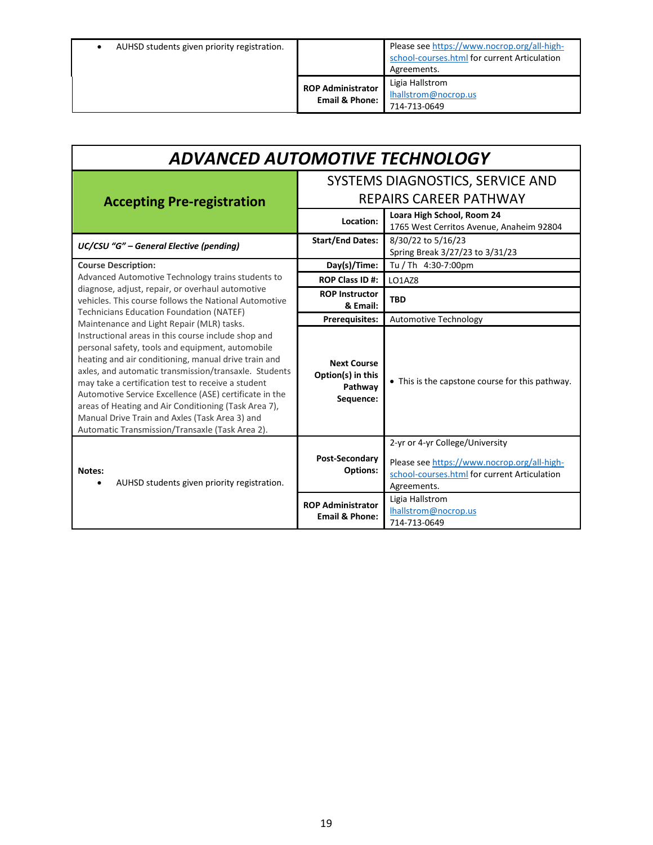| AUHSD students given priority registration. |
|---------------------------------------------|
|---------------------------------------------|

| AUHSD students given priority registration. |                                                       | Please see https://www.nocrop.org/all-high-<br>school-courses.html for current Articulation<br>Agreements. |
|---------------------------------------------|-------------------------------------------------------|------------------------------------------------------------------------------------------------------------|
|                                             | <b>ROP Administrator</b><br><b>Email &amp; Phone:</b> | Ligia Hallstrom<br>Ihallstrom@nocrop.us<br>714-713-0649                                                    |

| <b>ADVANCED AUTOMOTIVE TECHNOLOGY</b>                                                                                                                                                                                                                                                                                                                                                                                                                                                                                                                                                                                                                                                                              |                                                                   |                                                                                                                                               |
|--------------------------------------------------------------------------------------------------------------------------------------------------------------------------------------------------------------------------------------------------------------------------------------------------------------------------------------------------------------------------------------------------------------------------------------------------------------------------------------------------------------------------------------------------------------------------------------------------------------------------------------------------------------------------------------------------------------------|-------------------------------------------------------------------|-----------------------------------------------------------------------------------------------------------------------------------------------|
| <b>Accepting Pre-registration</b>                                                                                                                                                                                                                                                                                                                                                                                                                                                                                                                                                                                                                                                                                  | SYSTEMS DIAGNOSTICS, SERVICE AND<br><b>REPAIRS CAREER PATHWAY</b> |                                                                                                                                               |
|                                                                                                                                                                                                                                                                                                                                                                                                                                                                                                                                                                                                                                                                                                                    | Location:                                                         | Loara High School, Room 24<br>1765 West Cerritos Avenue, Anaheim 92804                                                                        |
| UC/CSU "G" - General Elective (pending)                                                                                                                                                                                                                                                                                                                                                                                                                                                                                                                                                                                                                                                                            | <b>Start/End Dates:</b>                                           | 8/30/22 to 5/16/23<br>Spring Break 3/27/23 to 3/31/23                                                                                         |
| <b>Course Description:</b>                                                                                                                                                                                                                                                                                                                                                                                                                                                                                                                                                                                                                                                                                         | Day(s)/Time:                                                      | Tu / Th 4:30-7:00pm                                                                                                                           |
| Advanced Automotive Technology trains students to                                                                                                                                                                                                                                                                                                                                                                                                                                                                                                                                                                                                                                                                  | ROP Class ID#:                                                    | LO1AZ8                                                                                                                                        |
| diagnose, adjust, repair, or overhaul automotive<br>vehicles. This course follows the National Automotive<br><b>Technicians Education Foundation (NATEF)</b><br>Maintenance and Light Repair (MLR) tasks.<br>Instructional areas in this course include shop and<br>personal safety, tools and equipment, automobile<br>heating and air conditioning, manual drive train and<br>axles, and automatic transmission/transaxle. Students<br>may take a certification test to receive a student<br>Automotive Service Excellence (ASE) certificate in the<br>areas of Heating and Air Conditioning (Task Area 7),<br>Manual Drive Train and Axles (Task Area 3) and<br>Automatic Transmission/Transaxle (Task Area 2). | <b>ROP Instructor</b><br>& Email:                                 | <b>TBD</b>                                                                                                                                    |
|                                                                                                                                                                                                                                                                                                                                                                                                                                                                                                                                                                                                                                                                                                                    | <b>Prerequisites:</b>                                             | Automotive Technology                                                                                                                         |
|                                                                                                                                                                                                                                                                                                                                                                                                                                                                                                                                                                                                                                                                                                                    | <b>Next Course</b><br>Option(s) in this<br>Pathway<br>Sequence:   | • This is the capstone course for this pathway.                                                                                               |
| Notes:<br>AUHSD students given priority registration.                                                                                                                                                                                                                                                                                                                                                                                                                                                                                                                                                                                                                                                              | Post-Secondary<br><b>Options:</b>                                 | 2-yr or 4-yr College/University<br>Please see https://www.nocrop.org/all-high-<br>school-courses.html for current Articulation<br>Agreements. |
|                                                                                                                                                                                                                                                                                                                                                                                                                                                                                                                                                                                                                                                                                                                    | <b>ROP Administrator</b><br><b>Email &amp; Phone:</b>             | Ligia Hallstrom<br>lhallstrom@nocrop.us<br>714-713-0649                                                                                       |